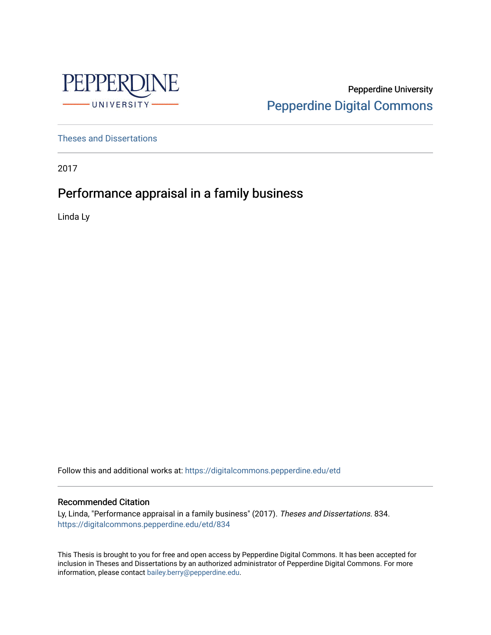

Pepperdine University [Pepperdine Digital Commons](https://digitalcommons.pepperdine.edu/) 

[Theses and Dissertations](https://digitalcommons.pepperdine.edu/etd)

2017

# Performance appraisal in a family business

Linda Ly

Follow this and additional works at: [https://digitalcommons.pepperdine.edu/etd](https://digitalcommons.pepperdine.edu/etd?utm_source=digitalcommons.pepperdine.edu%2Fetd%2F834&utm_medium=PDF&utm_campaign=PDFCoverPages) 

### Recommended Citation

Ly, Linda, "Performance appraisal in a family business" (2017). Theses and Dissertations. 834. [https://digitalcommons.pepperdine.edu/etd/834](https://digitalcommons.pepperdine.edu/etd/834?utm_source=digitalcommons.pepperdine.edu%2Fetd%2F834&utm_medium=PDF&utm_campaign=PDFCoverPages) 

This Thesis is brought to you for free and open access by Pepperdine Digital Commons. It has been accepted for inclusion in Theses and Dissertations by an authorized administrator of Pepperdine Digital Commons. For more information, please contact [bailey.berry@pepperdine.edu.](mailto:bailey.berry@pepperdine.edu)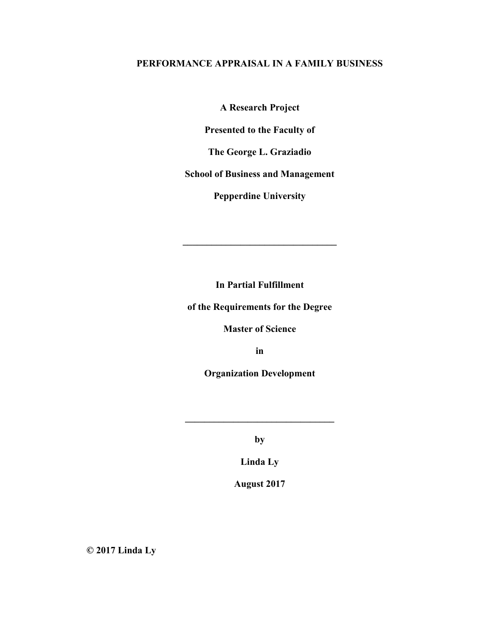## **PERFORMANCE APPRAISAL IN A FAMILY BUSINESS**

**A Research Project** 

**Presented to the Faculty of** 

**The George L. Graziadio** 

**School of Business and Management** 

**Pepperdine University** 

**In Partial Fulfillment** 

**\_\_\_\_\_\_\_\_\_\_\_\_\_\_\_\_\_\_\_\_\_\_\_\_\_\_\_\_\_\_\_\_** 

**of the Requirements for the Degree** 

**Master of Science** 

**in** 

**Organization Development** 

**by** 

**\_\_\_\_\_\_\_\_\_\_\_\_\_\_\_\_\_\_\_\_\_\_\_\_\_\_\_\_\_\_\_** 

**Linda Ly** 

**August 2017** 

**© 2017 Linda Ly**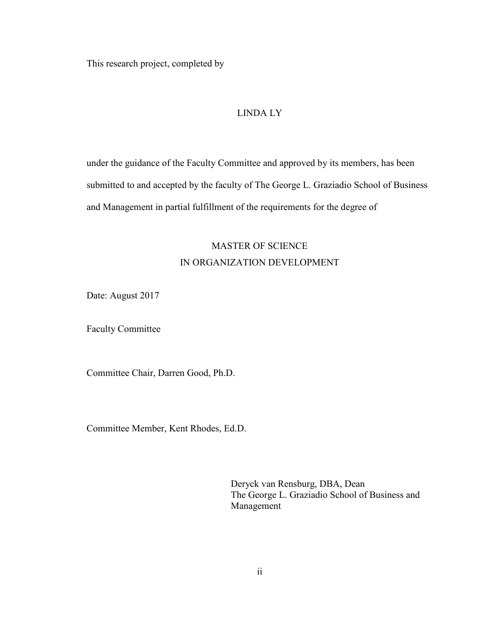This research project, completed by

### LINDA LY

under the guidance of the Faculty Committee and approved by its members, has been submitted to and accepted by the faculty of The George L. Graziadio School of Business and Management in partial fulfillment of the requirements for the degree of

# MASTER OF SCIENCE IN ORGANIZATION DEVELOPMENT

Date: August 2017

Faculty Committee

Committee Chair, Darren Good, Ph.D.

Committee Member, Kent Rhodes, Ed.D.

Deryck van Rensburg, DBA, Dean The George L. Graziadio School of Business and Management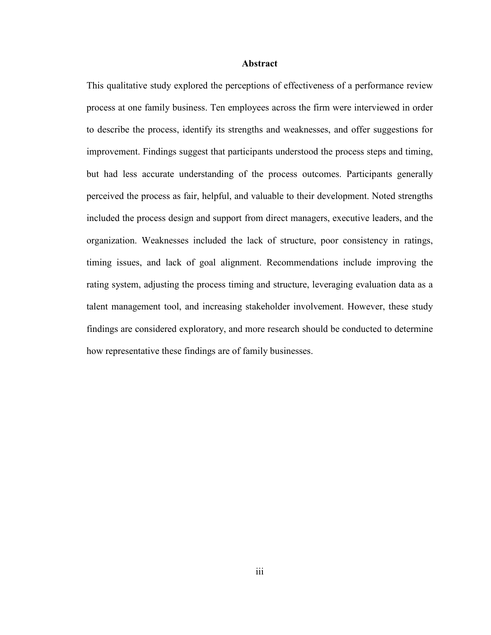#### **Abstract**

This qualitative study explored the perceptions of effectiveness of a performance review process at one family business. Ten employees across the firm were interviewed in order to describe the process, identify its strengths and weaknesses, and offer suggestions for improvement. Findings suggest that participants understood the process steps and timing, but had less accurate understanding of the process outcomes. Participants generally perceived the process as fair, helpful, and valuable to their development. Noted strengths included the process design and support from direct managers, executive leaders, and the organization. Weaknesses included the lack of structure, poor consistency in ratings, timing issues, and lack of goal alignment. Recommendations include improving the rating system, adjusting the process timing and structure, leveraging evaluation data as a talent management tool, and increasing stakeholder involvement. However, these study findings are considered exploratory, and more research should be conducted to determine how representative these findings are of family businesses.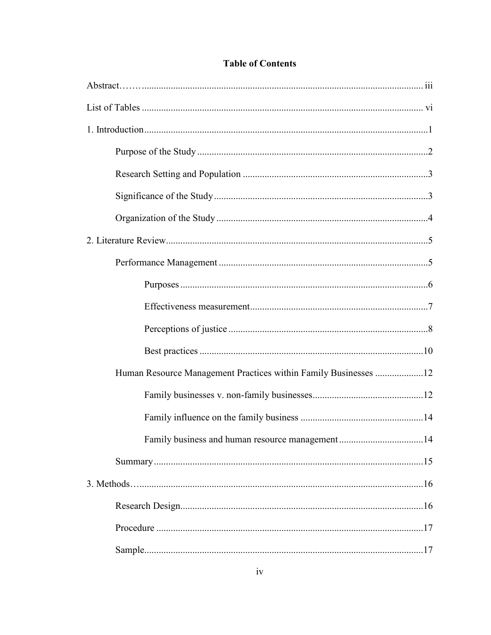| Human Resource Management Practices within Family Businesses 12 |  |
|-----------------------------------------------------------------|--|
|                                                                 |  |
|                                                                 |  |
|                                                                 |  |
|                                                                 |  |
|                                                                 |  |
|                                                                 |  |
|                                                                 |  |
|                                                                 |  |

## **Table of Contents**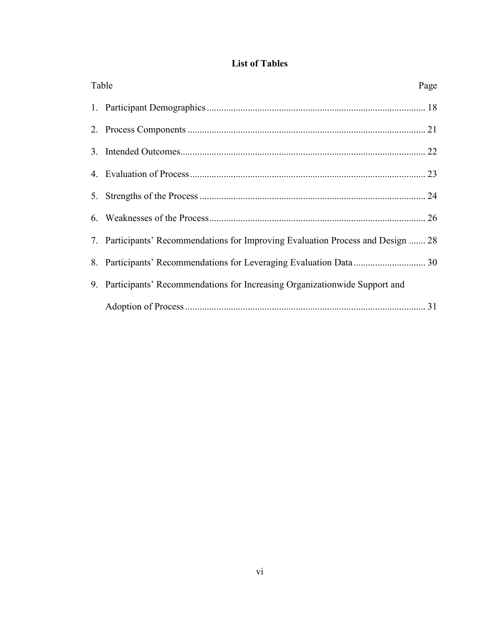| <b>List of Tables</b> |  |  |
|-----------------------|--|--|
|                       |  |  |

| Table | Page                                                                             |
|-------|----------------------------------------------------------------------------------|
|       |                                                                                  |
|       |                                                                                  |
|       |                                                                                  |
|       |                                                                                  |
|       |                                                                                  |
|       |                                                                                  |
|       | 7. Participants' Recommendations for Improving Evaluation Process and Design  28 |
|       |                                                                                  |
|       | 9. Participants' Recommendations for Increasing Organization wide Support and    |
|       |                                                                                  |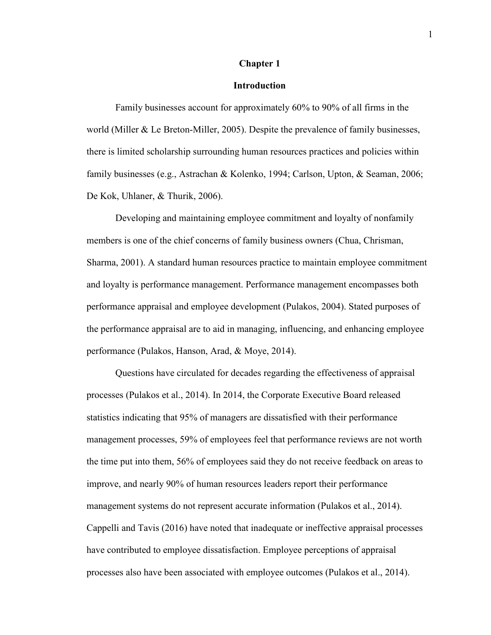#### **Chapter 1**

#### **Introduction**

Family businesses account for approximately 60% to 90% of all firms in the world (Miller & Le Breton-Miller, 2005). Despite the prevalence of family businesses, there is limited scholarship surrounding human resources practices and policies within family businesses (e.g., Astrachan & Kolenko, 1994; Carlson, Upton, & Seaman, 2006; De Kok, Uhlaner, & Thurik, 2006).

Developing and maintaining employee commitment and loyalty of nonfamily members is one of the chief concerns of family business owners (Chua, Chrisman, Sharma, 2001). A standard human resources practice to maintain employee commitment and loyalty is performance management. Performance management encompasses both performance appraisal and employee development (Pulakos, 2004). Stated purposes of the performance appraisal are to aid in managing, influencing, and enhancing employee performance (Pulakos, Hanson, Arad, & Moye, 2014).

Questions have circulated for decades regarding the effectiveness of appraisal processes (Pulakos et al., 2014). In 2014, the Corporate Executive Board released statistics indicating that 95% of managers are dissatisfied with their performance management processes, 59% of employees feel that performance reviews are not worth the time put into them, 56% of employees said they do not receive feedback on areas to improve, and nearly 90% of human resources leaders report their performance management systems do not represent accurate information (Pulakos et al., 2014). Cappelli and Tavis (2016) have noted that inadequate or ineffective appraisal processes have contributed to employee dissatisfaction. Employee perceptions of appraisal processes also have been associated with employee outcomes (Pulakos et al., 2014).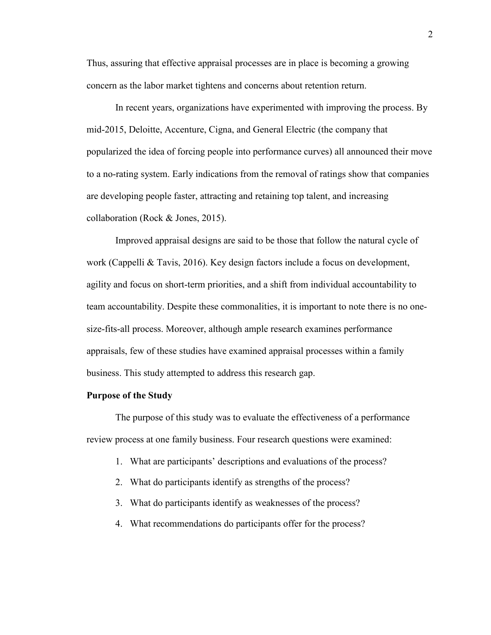Thus, assuring that effective appraisal processes are in place is becoming a growing concern as the labor market tightens and concerns about retention return.

In recent years, organizations have experimented with improving the process. By mid-2015, Deloitte, Accenture, Cigna, and General Electric (the company that popularized the idea of forcing people into performance curves) all announced their move to a no-rating system. Early indications from the removal of ratings show that companies are developing people faster, attracting and retaining top talent, and increasing collaboration (Rock & Jones, 2015).

Improved appraisal designs are said to be those that follow the natural cycle of work (Cappelli & Tavis, 2016). Key design factors include a focus on development, agility and focus on short-term priorities, and a shift from individual accountability to team accountability. Despite these commonalities, it is important to note there is no onesize-fits-all process. Moreover, although ample research examines performance appraisals, few of these studies have examined appraisal processes within a family business. This study attempted to address this research gap.

#### **Purpose of the Study**

The purpose of this study was to evaluate the effectiveness of a performance review process at one family business. Four research questions were examined:

- 1. What are participants' descriptions and evaluations of the process?
- 2. What do participants identify as strengths of the process?
- 3. What do participants identify as weaknesses of the process?
- 4. What recommendations do participants offer for the process?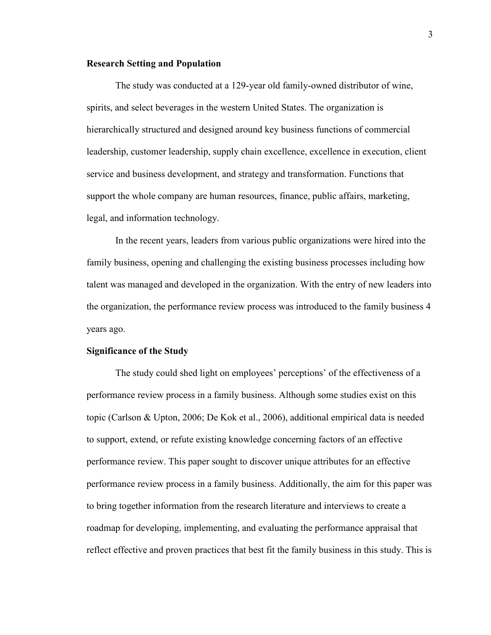#### **Research Setting and Population**

The study was conducted at a 129-year old family-owned distributor of wine, spirits, and select beverages in the western United States. The organization is hierarchically structured and designed around key business functions of commercial leadership, customer leadership, supply chain excellence, excellence in execution, client service and business development, and strategy and transformation. Functions that support the whole company are human resources, finance, public affairs, marketing, legal, and information technology.

In the recent years, leaders from various public organizations were hired into the family business, opening and challenging the existing business processes including how talent was managed and developed in the organization. With the entry of new leaders into the organization, the performance review process was introduced to the family business 4 years ago.

#### **Significance of the Study**

The study could shed light on employees' perceptions' of the effectiveness of a performance review process in a family business. Although some studies exist on this topic (Carlson & Upton, 2006; De Kok et al., 2006), additional empirical data is needed to support, extend, or refute existing knowledge concerning factors of an effective performance review. This paper sought to discover unique attributes for an effective performance review process in a family business. Additionally, the aim for this paper was to bring together information from the research literature and interviews to create a roadmap for developing, implementing, and evaluating the performance appraisal that reflect effective and proven practices that best fit the family business in this study. This is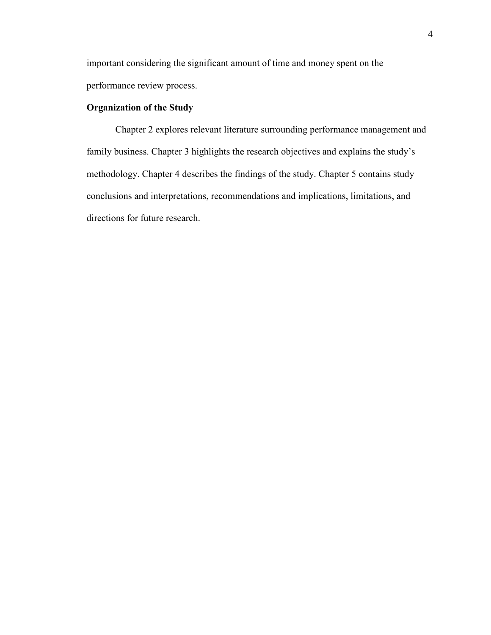important considering the significant amount of time and money spent on the performance review process.

## **Organization of the Study**

Chapter 2 explores relevant literature surrounding performance management and family business. Chapter 3 highlights the research objectives and explains the study's methodology. Chapter 4 describes the findings of the study. Chapter 5 contains study conclusions and interpretations, recommendations and implications, limitations, and directions for future research.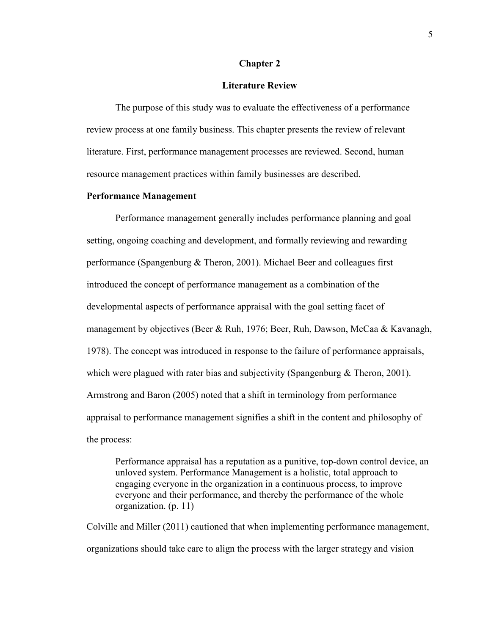#### **Chapter 2**

#### **Literature Review**

The purpose of this study was to evaluate the effectiveness of a performance review process at one family business. This chapter presents the review of relevant literature. First, performance management processes are reviewed. Second, human resource management practices within family businesses are described.

#### **Performance Management**

Performance management generally includes performance planning and goal setting, ongoing coaching and development, and formally reviewing and rewarding performance (Spangenburg & Theron, 2001). Michael Beer and colleagues first introduced the concept of performance management as a combination of the developmental aspects of performance appraisal with the goal setting facet of management by objectives (Beer & Ruh, 1976; Beer, Ruh, Dawson, McCaa & Kavanagh, 1978). The concept was introduced in response to the failure of performance appraisals, which were plagued with rater bias and subjectivity (Spangenburg  $&$  Theron, 2001). Armstrong and Baron (2005) noted that a shift in terminology from performance appraisal to performance management signifies a shift in the content and philosophy of the process:

Performance appraisal has a reputation as a punitive, top-down control device, an unloved system. Performance Management is a holistic, total approach to engaging everyone in the organization in a continuous process, to improve everyone and their performance, and thereby the performance of the whole organization. (p. 11)

Colville and Miller (2011) cautioned that when implementing performance management, organizations should take care to align the process with the larger strategy and vision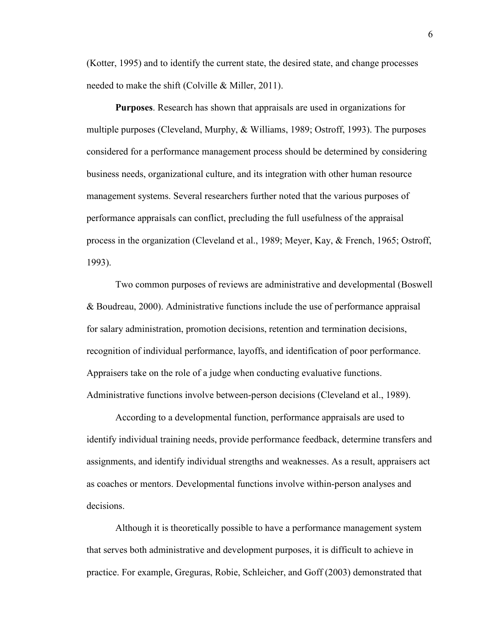(Kotter, 1995) and to identify the current state, the desired state, and change processes needed to make the shift (Colville & Miller, 2011).

**Purposes**. Research has shown that appraisals are used in organizations for multiple purposes (Cleveland, Murphy, & Williams, 1989; Ostroff, 1993). The purposes considered for a performance management process should be determined by considering business needs, organizational culture, and its integration with other human resource management systems. Several researchers further noted that the various purposes of performance appraisals can conflict, precluding the full usefulness of the appraisal process in the organization (Cleveland et al., 1989; Meyer, Kay, & French, 1965; Ostroff, 1993).

Two common purposes of reviews are administrative and developmental (Boswell & Boudreau, 2000). Administrative functions include the use of performance appraisal for salary administration, promotion decisions, retention and termination decisions, recognition of individual performance, layoffs, and identification of poor performance. Appraisers take on the role of a judge when conducting evaluative functions. Administrative functions involve between-person decisions (Cleveland et al., 1989).

According to a developmental function, performance appraisals are used to identify individual training needs, provide performance feedback, determine transfers and assignments, and identify individual strengths and weaknesses. As a result, appraisers act as coaches or mentors. Developmental functions involve within-person analyses and decisions.

Although it is theoretically possible to have a performance management system that serves both administrative and development purposes, it is difficult to achieve in practice. For example, Greguras, Robie, Schleicher, and Goff (2003) demonstrated that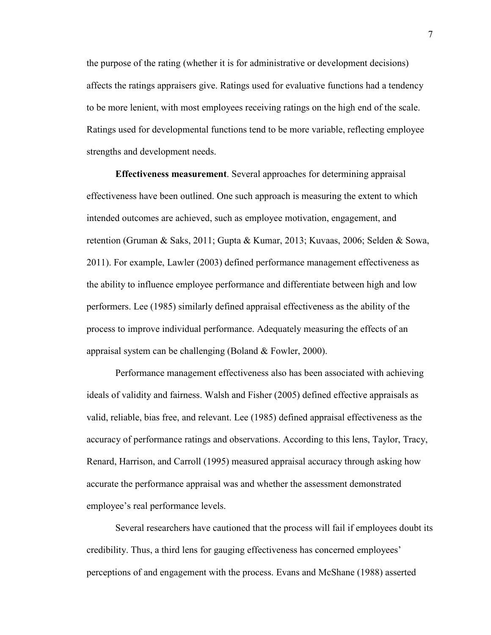the purpose of the rating (whether it is for administrative or development decisions) affects the ratings appraisers give. Ratings used for evaluative functions had a tendency to be more lenient, with most employees receiving ratings on the high end of the scale. Ratings used for developmental functions tend to be more variable, reflecting employee strengths and development needs.

**Effectiveness measurement**. Several approaches for determining appraisal effectiveness have been outlined. One such approach is measuring the extent to which intended outcomes are achieved, such as employee motivation, engagement, and retention (Gruman & Saks, 2011; Gupta & Kumar, 2013; Kuvaas, 2006; Selden & Sowa, 2011). For example, Lawler (2003) defined performance management effectiveness as the ability to influence employee performance and differentiate between high and low performers. Lee (1985) similarly defined appraisal effectiveness as the ability of the process to improve individual performance. Adequately measuring the effects of an appraisal system can be challenging (Boland & Fowler, 2000).

Performance management effectiveness also has been associated with achieving ideals of validity and fairness. Walsh and Fisher (2005) defined effective appraisals as valid, reliable, bias free, and relevant. Lee (1985) defined appraisal effectiveness as the accuracy of performance ratings and observations. According to this lens, Taylor, Tracy, Renard, Harrison, and Carroll (1995) measured appraisal accuracy through asking how accurate the performance appraisal was and whether the assessment demonstrated employee's real performance levels.

Several researchers have cautioned that the process will fail if employees doubt its credibility. Thus, a third lens for gauging effectiveness has concerned employees' perceptions of and engagement with the process. Evans and McShane (1988) asserted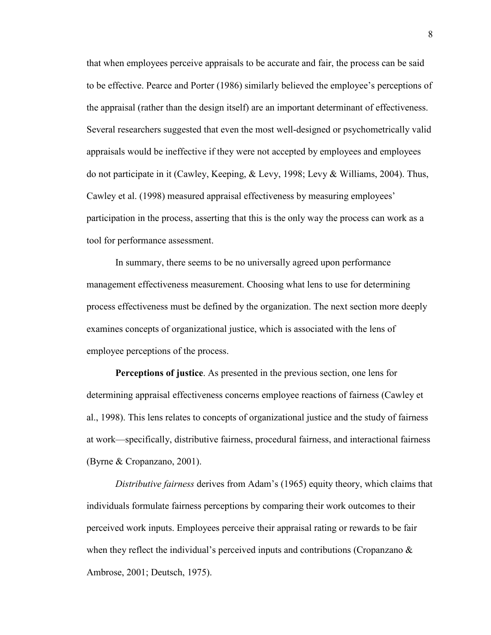that when employees perceive appraisals to be accurate and fair, the process can be said to be effective. Pearce and Porter (1986) similarly believed the employee's perceptions of the appraisal (rather than the design itself) are an important determinant of effectiveness. Several researchers suggested that even the most well-designed or psychometrically valid appraisals would be ineffective if they were not accepted by employees and employees do not participate in it (Cawley, Keeping, & Levy, 1998; Levy & Williams, 2004). Thus, Cawley et al. (1998) measured appraisal effectiveness by measuring employees' participation in the process, asserting that this is the only way the process can work as a tool for performance assessment.

In summary, there seems to be no universally agreed upon performance management effectiveness measurement. Choosing what lens to use for determining process effectiveness must be defined by the organization. The next section more deeply examines concepts of organizational justice, which is associated with the lens of employee perceptions of the process.

**Perceptions of justice**. As presented in the previous section, one lens for determining appraisal effectiveness concerns employee reactions of fairness (Cawley et al., 1998). This lens relates to concepts of organizational justice and the study of fairness at work—specifically, distributive fairness, procedural fairness, and interactional fairness (Byrne & Cropanzano, 2001).

*Distributive fairness* derives from Adam's (1965) equity theory, which claims that individuals formulate fairness perceptions by comparing their work outcomes to their perceived work inputs. Employees perceive their appraisal rating or rewards to be fair when they reflect the individual's perceived inputs and contributions (Cropanzano  $\&$ Ambrose, 2001; Deutsch, 1975).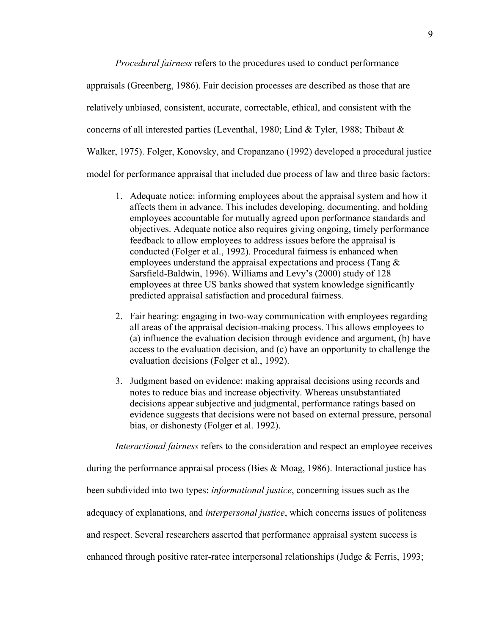*Procedural fairness* refers to the procedures used to conduct performance appraisals (Greenberg, 1986). Fair decision processes are described as those that are relatively unbiased, consistent, accurate, correctable, ethical, and consistent with the concerns of all interested parties (Leventhal, 1980; Lind & Tyler, 1988; Thibaut & Walker, 1975). Folger, Konovsky, and Cropanzano (1992) developed a procedural justice model for performance appraisal that included due process of law and three basic factors:

- 1. Adequate notice: informing employees about the appraisal system and how it affects them in advance. This includes developing, documenting, and holding employees accountable for mutually agreed upon performance standards and objectives. Adequate notice also requires giving ongoing, timely performance feedback to allow employees to address issues before the appraisal is conducted (Folger et al., 1992). Procedural fairness is enhanced when employees understand the appraisal expectations and process (Tang & Sarsfield-Baldwin, 1996). Williams and Levy's (2000) study of 128 employees at three US banks showed that system knowledge significantly predicted appraisal satisfaction and procedural fairness.
- 2. Fair hearing: engaging in two-way communication with employees regarding all areas of the appraisal decision-making process. This allows employees to (a) influence the evaluation decision through evidence and argument, (b) have access to the evaluation decision, and (c) have an opportunity to challenge the evaluation decisions (Folger et al., 1992).
- 3. Judgment based on evidence: making appraisal decisions using records and notes to reduce bias and increase objectivity. Whereas unsubstantiated decisions appear subjective and judgmental, performance ratings based on evidence suggests that decisions were not based on external pressure, personal bias, or dishonesty (Folger et al. 1992).

*Interactional fairness* refers to the consideration and respect an employee receives

during the performance appraisal process (Bies & Moag, 1986). Interactional justice has

been subdivided into two types: *informational justice*, concerning issues such as the

adequacy of explanations, and *interpersonal justice*, which concerns issues of politeness

and respect. Several researchers asserted that performance appraisal system success is

enhanced through positive rater-ratee interpersonal relationships (Judge & Ferris, 1993;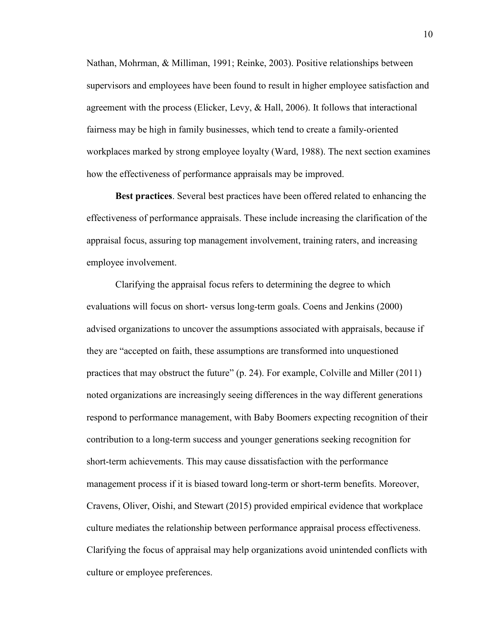Nathan, Mohrman, & Milliman, 1991; Reinke, 2003). Positive relationships between supervisors and employees have been found to result in higher employee satisfaction and agreement with the process (Elicker, Levy, & Hall, 2006). It follows that interactional fairness may be high in family businesses, which tend to create a family-oriented workplaces marked by strong employee loyalty (Ward, 1988). The next section examines how the effectiveness of performance appraisals may be improved.

**Best practices**. Several best practices have been offered related to enhancing the effectiveness of performance appraisals. These include increasing the clarification of the appraisal focus, assuring top management involvement, training raters, and increasing employee involvement.

Clarifying the appraisal focus refers to determining the degree to which evaluations will focus on short- versus long-term goals. Coens and Jenkins (2000) advised organizations to uncover the assumptions associated with appraisals, because if they are "accepted on faith, these assumptions are transformed into unquestioned practices that may obstruct the future" (p. 24). For example, Colville and Miller (2011) noted organizations are increasingly seeing differences in the way different generations respond to performance management, with Baby Boomers expecting recognition of their contribution to a long-term success and younger generations seeking recognition for short-term achievements. This may cause dissatisfaction with the performance management process if it is biased toward long-term or short-term benefits. Moreover, Cravens, Oliver, Oishi, and Stewart (2015) provided empirical evidence that workplace culture mediates the relationship between performance appraisal process effectiveness. Clarifying the focus of appraisal may help organizations avoid unintended conflicts with culture or employee preferences.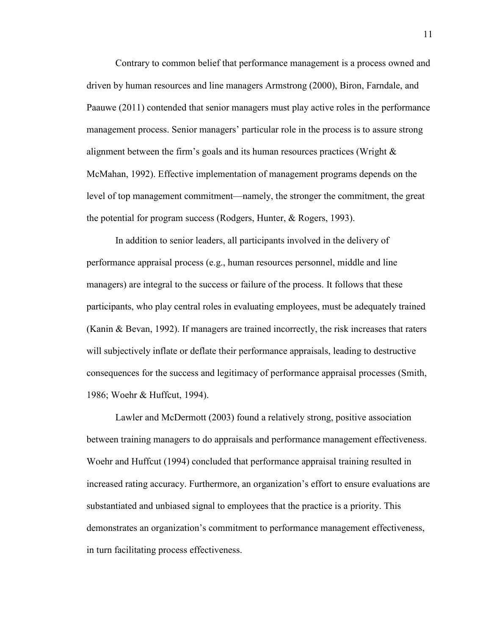Contrary to common belief that performance management is a process owned and driven by human resources and line managers Armstrong (2000), Biron, Farndale, and Paauwe (2011) contended that senior managers must play active roles in the performance management process. Senior managers' particular role in the process is to assure strong alignment between the firm's goals and its human resources practices (Wright & McMahan, 1992). Effective implementation of management programs depends on the level of top management commitment—namely, the stronger the commitment, the great the potential for program success (Rodgers, Hunter, & Rogers, 1993).

In addition to senior leaders, all participants involved in the delivery of performance appraisal process (e.g., human resources personnel, middle and line managers) are integral to the success or failure of the process. It follows that these participants, who play central roles in evaluating employees, must be adequately trained (Kanin & Bevan, 1992). If managers are trained incorrectly, the risk increases that raters will subjectively inflate or deflate their performance appraisals, leading to destructive consequences for the success and legitimacy of performance appraisal processes (Smith, 1986; Woehr & Huffcut, 1994).

Lawler and McDermott (2003) found a relatively strong, positive association between training managers to do appraisals and performance management effectiveness. Woehr and Huffcut (1994) concluded that performance appraisal training resulted in increased rating accuracy. Furthermore, an organization's effort to ensure evaluations are substantiated and unbiased signal to employees that the practice is a priority. This demonstrates an organization's commitment to performance management effectiveness, in turn facilitating process effectiveness.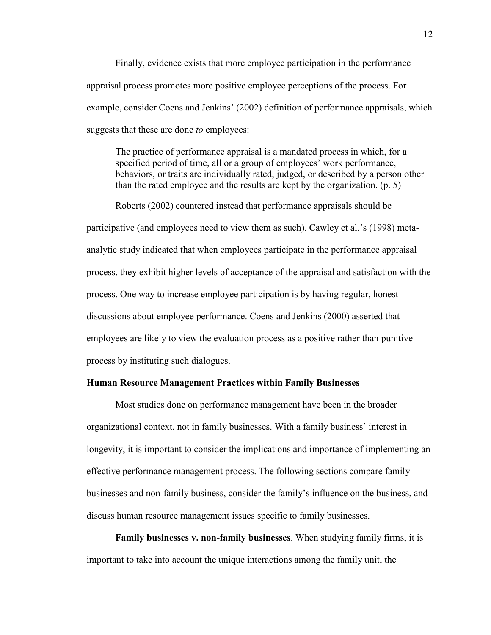Finally, evidence exists that more employee participation in the performance appraisal process promotes more positive employee perceptions of the process. For example, consider Coens and Jenkins' (2002) definition of performance appraisals, which suggests that these are done *to* employees:

The practice of performance appraisal is a mandated process in which, for a specified period of time, all or a group of employees' work performance, behaviors, or traits are individually rated, judged, or described by a person other than the rated employee and the results are kept by the organization. (p. 5)

Roberts (2002) countered instead that performance appraisals should be participative (and employees need to view them as such). Cawley et al.'s (1998) metaanalytic study indicated that when employees participate in the performance appraisal process, they exhibit higher levels of acceptance of the appraisal and satisfaction with the process. One way to increase employee participation is by having regular, honest discussions about employee performance. Coens and Jenkins (2000) asserted that employees are likely to view the evaluation process as a positive rather than punitive process by instituting such dialogues.

#### **Human Resource Management Practices within Family Businesses**

Most studies done on performance management have been in the broader organizational context, not in family businesses. With a family business' interest in longevity, it is important to consider the implications and importance of implementing an effective performance management process. The following sections compare family businesses and non-family business, consider the family's influence on the business, and discuss human resource management issues specific to family businesses.

**Family businesses v. non-family businesses**. When studying family firms, it is important to take into account the unique interactions among the family unit, the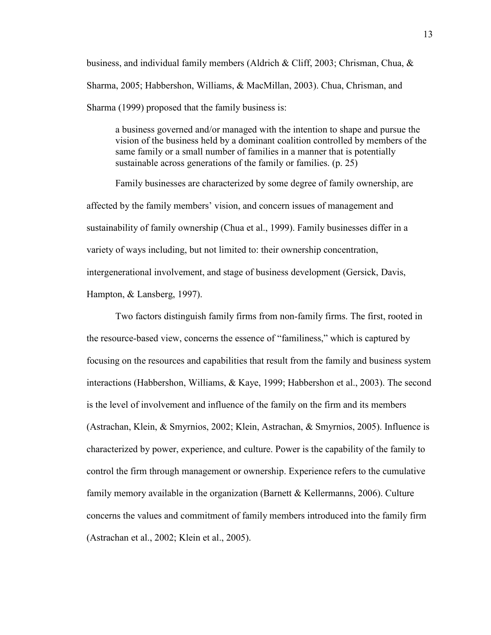business, and individual family members (Aldrich & Cliff, 2003; Chrisman, Chua, & Sharma, 2005; Habbershon, Williams, & MacMillan, 2003). Chua, Chrisman, and Sharma (1999) proposed that the family business is:

a business governed and/or managed with the intention to shape and pursue the vision of the business held by a dominant coalition controlled by members of the same family or a small number of families in a manner that is potentially sustainable across generations of the family or families. (p. 25)

Family businesses are characterized by some degree of family ownership, are affected by the family members' vision, and concern issues of management and sustainability of family ownership (Chua et al., 1999). Family businesses differ in a variety of ways including, but not limited to: their ownership concentration, intergenerational involvement, and stage of business development (Gersick, Davis, Hampton, & Lansberg, 1997).

Two factors distinguish family firms from non-family firms. The first, rooted in the resource-based view, concerns the essence of "familiness," which is captured by focusing on the resources and capabilities that result from the family and business system interactions (Habbershon, Williams, & Kaye, 1999; Habbershon et al., 2003). The second is the level of involvement and influence of the family on the firm and its members (Astrachan, Klein, & Smyrnios, 2002; Klein, Astrachan, & Smyrnios, 2005). Influence is characterized by power, experience, and culture. Power is the capability of the family to control the firm through management or ownership. Experience refers to the cumulative family memory available in the organization (Barnett & Kellermanns, 2006). Culture concerns the values and commitment of family members introduced into the family firm (Astrachan et al., 2002; Klein et al., 2005).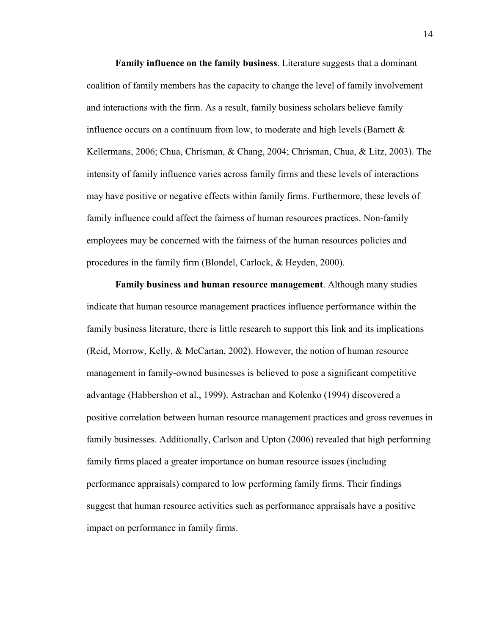**Family influence on the family business**. Literature suggests that a dominant coalition of family members has the capacity to change the level of family involvement and interactions with the firm. As a result, family business scholars believe family influence occurs on a continuum from low, to moderate and high levels (Barnett  $\&$ Kellermans, 2006; Chua, Chrisman, & Chang, 2004; Chrisman, Chua, & Litz, 2003). The intensity of family influence varies across family firms and these levels of interactions may have positive or negative effects within family firms. Furthermore, these levels of family influence could affect the fairness of human resources practices. Non-family employees may be concerned with the fairness of the human resources policies and procedures in the family firm (Blondel, Carlock, & Heyden, 2000).

**Family business and human resource management**. Although many studies indicate that human resource management practices influence performance within the family business literature, there is little research to support this link and its implications (Reid, Morrow, Kelly, & McCartan, 2002). However, the notion of human resource management in family-owned businesses is believed to pose a significant competitive advantage (Habbershon et al., 1999). Astrachan and Kolenko (1994) discovered a positive correlation between human resource management practices and gross revenues in family businesses. Additionally, Carlson and Upton (2006) revealed that high performing family firms placed a greater importance on human resource issues (including performance appraisals) compared to low performing family firms. Their findings suggest that human resource activities such as performance appraisals have a positive impact on performance in family firms.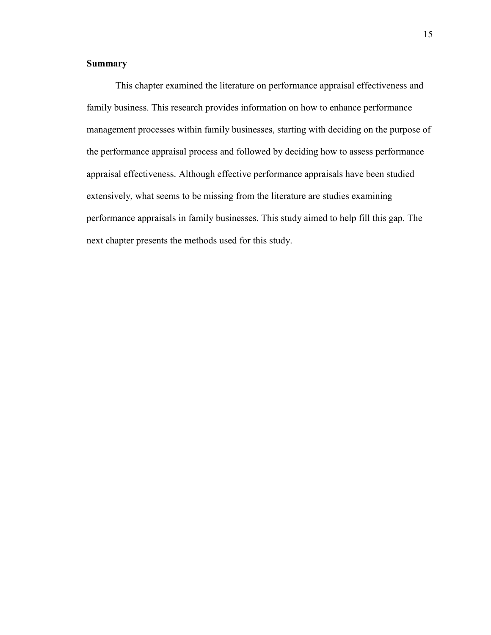## **Summary**

This chapter examined the literature on performance appraisal effectiveness and family business. This research provides information on how to enhance performance management processes within family businesses, starting with deciding on the purpose of the performance appraisal process and followed by deciding how to assess performance appraisal effectiveness. Although effective performance appraisals have been studied extensively, what seems to be missing from the literature are studies examining performance appraisals in family businesses. This study aimed to help fill this gap. The next chapter presents the methods used for this study.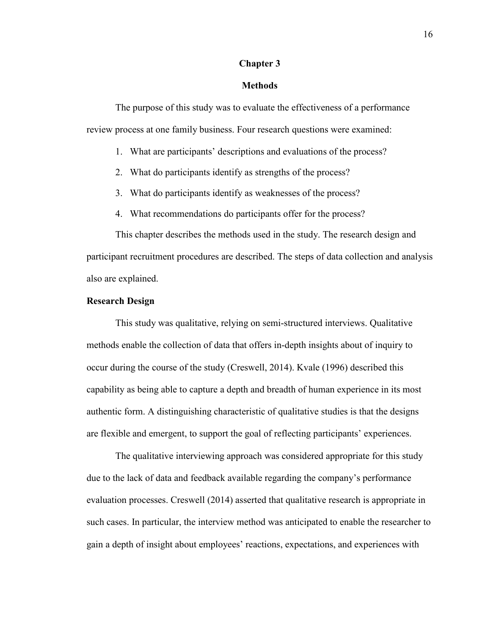#### **Chapter 3**

#### **Methods**

The purpose of this study was to evaluate the effectiveness of a performance review process at one family business. Four research questions were examined:

- 1. What are participants' descriptions and evaluations of the process?
- 2. What do participants identify as strengths of the process?
- 3. What do participants identify as weaknesses of the process?
- 4. What recommendations do participants offer for the process?

This chapter describes the methods used in the study. The research design and participant recruitment procedures are described. The steps of data collection and analysis also are explained.

## **Research Design**

This study was qualitative, relying on semi-structured interviews. Qualitative methods enable the collection of data that offers in-depth insights about of inquiry to occur during the course of the study (Creswell, 2014). Kvale (1996) described this capability as being able to capture a depth and breadth of human experience in its most authentic form. A distinguishing characteristic of qualitative studies is that the designs are flexible and emergent, to support the goal of reflecting participants' experiences.

The qualitative interviewing approach was considered appropriate for this study due to the lack of data and feedback available regarding the company's performance evaluation processes. Creswell (2014) asserted that qualitative research is appropriate in such cases. In particular, the interview method was anticipated to enable the researcher to gain a depth of insight about employees' reactions, expectations, and experiences with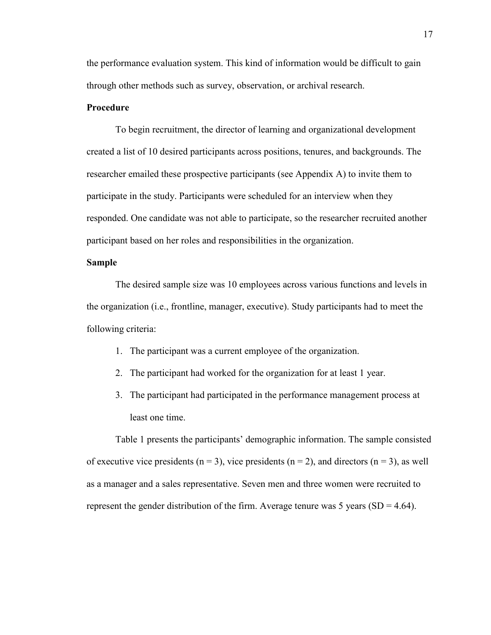the performance evaluation system. This kind of information would be difficult to gain through other methods such as survey, observation, or archival research.

#### **Procedure**

To begin recruitment, the director of learning and organizational development created a list of 10 desired participants across positions, tenures, and backgrounds. The researcher emailed these prospective participants (see Appendix A) to invite them to participate in the study. Participants were scheduled for an interview when they responded. One candidate was not able to participate, so the researcher recruited another participant based on her roles and responsibilities in the organization.

## **Sample**

The desired sample size was 10 employees across various functions and levels in the organization (i.e., frontline, manager, executive). Study participants had to meet the following criteria:

- 1. The participant was a current employee of the organization.
- 2. The participant had worked for the organization for at least 1 year.
- 3. The participant had participated in the performance management process at least one time.

Table 1 presents the participants' demographic information. The sample consisted of executive vice presidents (n = 3), vice presidents (n = 2), and directors (n = 3), as well as a manager and a sales representative. Seven men and three women were recruited to represent the gender distribution of the firm. Average tenure was 5 years ( $SD = 4.64$ ).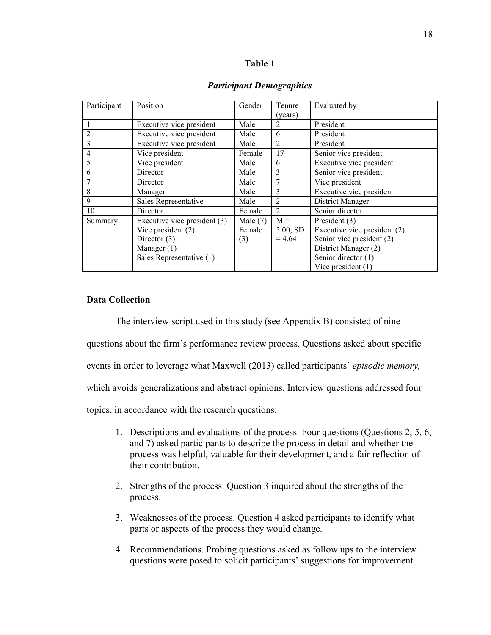#### **Table 1**

| Participant    | Position                     | Gender     | Tenure         | Evaluated by                 |
|----------------|------------------------------|------------|----------------|------------------------------|
|                |                              |            | (years)        |                              |
| 1              | Executive vice president     | Male       | 2              | President                    |
| $\overline{2}$ | Executive vice president     | Male       | 6              | President                    |
| 3              | Executive vice president     | Male       | $\mathfrak{D}$ | President                    |
| $\overline{4}$ | Vice president               | Female     | 17             | Senior vice president        |
| 5              | Vice president               | Male       | 6              | Executive vice president     |
| 6              | Director                     | Male       | 3              | Senior vice president        |
|                | Director                     | Male       | 7              | Vice president               |
| 8              | Manager                      | Male       | 3              | Executive vice president     |
| 9              | Sales Representative         | Male       | 2              | District Manager             |
| 10             | Director                     | Female     | 2              | Senior director              |
| Summary        | Executive vice president (3) | Male $(7)$ | $M =$          | President (3)                |
|                | Vice president $(2)$         | Female     | 5.00, SD       | Executive vice president (2) |
|                | Director $(3)$               | (3)        | $= 4.64$       | Senior vice president (2)    |
|                | Manager (1)                  |            |                | District Manager (2)         |
|                | Sales Representative (1)     |            |                | Senior director (1)          |
|                |                              |            |                | Vice president $(1)$         |

#### *Participant Demographics*

## **Data Collection**

The interview script used in this study (see Appendix B) consisted of nine questions about the firm's performance review process. Questions asked about specific events in order to leverage what Maxwell (2013) called participants' *episodic memory,* which avoids generalizations and abstract opinions. Interview questions addressed four topics, in accordance with the research questions:

- 1. Descriptions and evaluations of the process. Four questions (Questions 2, 5, 6, and 7) asked participants to describe the process in detail and whether the process was helpful, valuable for their development, and a fair reflection of their contribution.
- 2. Strengths of the process. Question 3 inquired about the strengths of the process.
- 3. Weaknesses of the process. Question 4 asked participants to identify what parts or aspects of the process they would change.
- 4. Recommendations. Probing questions asked as follow ups to the interview questions were posed to solicit participants' suggestions for improvement.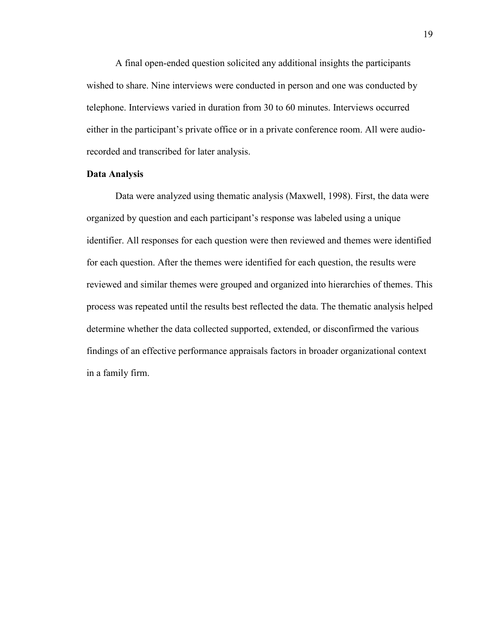A final open-ended question solicited any additional insights the participants wished to share. Nine interviews were conducted in person and one was conducted by telephone. Interviews varied in duration from 30 to 60 minutes. Interviews occurred either in the participant's private office or in a private conference room. All were audiorecorded and transcribed for later analysis.

#### **Data Analysis**

Data were analyzed using thematic analysis (Maxwell, 1998). First, the data were organized by question and each participant's response was labeled using a unique identifier. All responses for each question were then reviewed and themes were identified for each question. After the themes were identified for each question, the results were reviewed and similar themes were grouped and organized into hierarchies of themes. This process was repeated until the results best reflected the data. The thematic analysis helped determine whether the data collected supported, extended, or disconfirmed the various findings of an effective performance appraisals factors in broader organizational context in a family firm.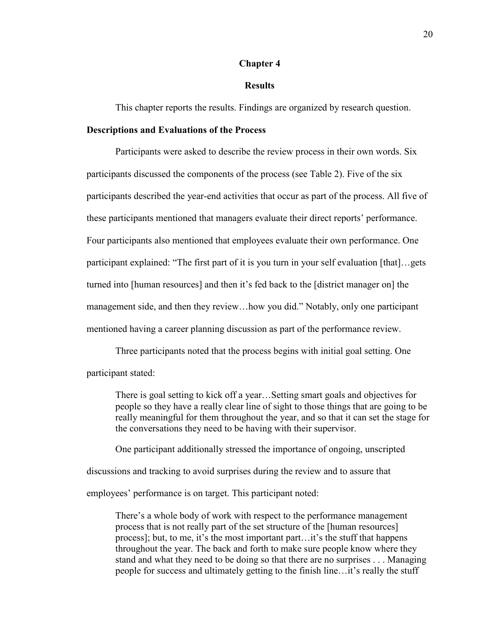#### **Chapter 4**

#### **Results**

This chapter reports the results. Findings are organized by research question.

#### **Descriptions and Evaluations of the Process**

Participants were asked to describe the review process in their own words. Six participants discussed the components of the process (see Table 2). Five of the six participants described the year-end activities that occur as part of the process. All five of these participants mentioned that managers evaluate their direct reports' performance. Four participants also mentioned that employees evaluate their own performance. One participant explained: "The first part of it is you turn in your self evaluation [that]…gets turned into [human resources] and then it's fed back to the [district manager on] the management side, and then they review…how you did." Notably, only one participant mentioned having a career planning discussion as part of the performance review.

Three participants noted that the process begins with initial goal setting. One participant stated:

There is goal setting to kick off a year…Setting smart goals and objectives for people so they have a really clear line of sight to those things that are going to be really meaningful for them throughout the year, and so that it can set the stage for the conversations they need to be having with their supervisor.

One participant additionally stressed the importance of ongoing, unscripted

discussions and tracking to avoid surprises during the review and to assure that

employees' performance is on target. This participant noted:

There's a whole body of work with respect to the performance management process that is not really part of the set structure of the [human resources] process]; but, to me, it's the most important part…it's the stuff that happens throughout the year. The back and forth to make sure people know where they stand and what they need to be doing so that there are no surprises . . . Managing people for success and ultimately getting to the finish line…it's really the stuff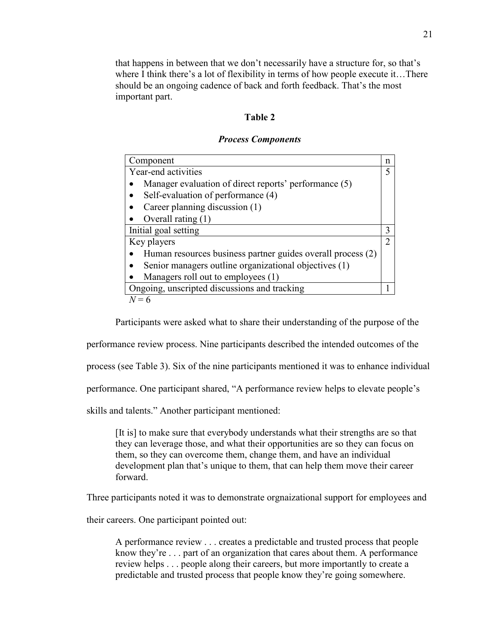that happens in between that we don't necessarily have a structure for, so that's where I think there's a lot of flexibility in terms of how people execute it... There should be an ongoing cadence of back and forth feedback. That's the most important part.

## **Table 2**

#### *Process Components*

| Component                                                   | n             |
|-------------------------------------------------------------|---------------|
| Year-end activities                                         | 5             |
| Manager evaluation of direct reports' performance (5)       |               |
| Self-evaluation of performance (4)                          |               |
| Career planning discussion (1)                              |               |
| Overall rating $(1)$                                        |               |
| Initial goal setting                                        | 3             |
| Key players                                                 | $\mathcal{D}$ |
| Human resources business partner guides overall process (2) |               |
| Senior managers outline organizational objectives (1)       |               |
| Managers roll out to employees (1)                          |               |
| Ongoing, unscripted discussions and tracking                |               |
| $N=6$                                                       |               |

Participants were asked what to share their understanding of the purpose of the

performance review process. Nine participants described the intended outcomes of the

process (see Table 3). Six of the nine participants mentioned it was to enhance individual

performance. One participant shared, "A performance review helps to elevate people's

skills and talents." Another participant mentioned:

[It is] to make sure that everybody understands what their strengths are so that they can leverage those, and what their opportunities are so they can focus on them, so they can overcome them, change them, and have an individual development plan that's unique to them, that can help them move their career forward.

Three participants noted it was to demonstrate orgnaizational support for employees and

their careers. One participant pointed out:

A performance review . . . creates a predictable and trusted process that people know they're . . . part of an organization that cares about them. A performance review helps . . . people along their careers, but more importantly to create a predictable and trusted process that people know they're going somewhere.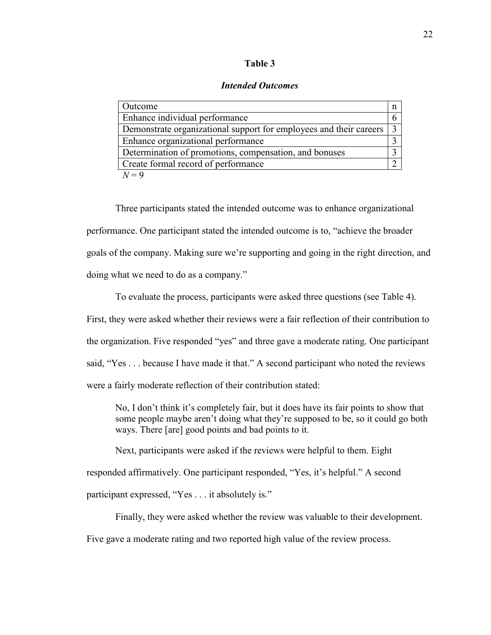#### **Table 3**

#### *Intended Outcomes*

| Outcome                                                              |  |
|----------------------------------------------------------------------|--|
| Enhance individual performance                                       |  |
| Demonstrate organizational support for employees and their careers 3 |  |
| Enhance organizational performance                                   |  |
| Determination of promotions, compensation, and bonuses               |  |
| Create formal record of performance                                  |  |
| $l=9$                                                                |  |

Three participants stated the intended outcome was to enhance organizational performance. One participant stated the intended outcome is to, "achieve the broader goals of the company. Making sure we're supporting and going in the right direction, and doing what we need to do as a company."

To evaluate the process, participants were asked three questions (see Table 4). First, they were asked whether their reviews were a fair reflection of their contribution to the organization. Five responded "yes" and three gave a moderate rating. One participant said, "Yes . . . because I have made it that." A second participant who noted the reviews were a fairly moderate reflection of their contribution stated:

No, I don't think it's completely fair, but it does have its fair points to show that some people maybe aren't doing what they're supposed to be, so it could go both ways. There [are] good points and bad points to it.

Next, participants were asked if the reviews were helpful to them. Eight

responded affirmatively. One participant responded, "Yes, it's helpful." A second

participant expressed, "Yes . . . it absolutely is."

Finally, they were asked whether the review was valuable to their development.

Five gave a moderate rating and two reported high value of the review process.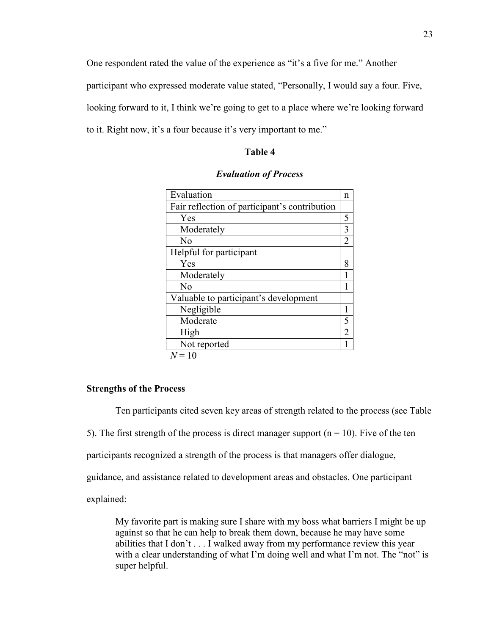One respondent rated the value of the experience as "it's a five for me." Another participant who expressed moderate value stated, "Personally, I would say a four. Five, looking forward to it, I think we're going to get to a place where we're looking forward to it. Right now, it's a four because it's very important to me."

## **Table 4**

| Evaluation                                    | n              |
|-----------------------------------------------|----------------|
| Fair reflection of participant's contribution |                |
| Yes                                           | 5              |
| Moderately                                    | 3              |
| No                                            | 2              |
| Helpful for participant                       |                |
| Yes                                           | 8              |
| Moderately                                    |                |
| No                                            |                |
| Valuable to participant's development         |                |
| Negligible                                    |                |
| Moderate                                      | 5              |
| High                                          | $\overline{2}$ |
| Not reported                                  |                |
| $N = 10$                                      |                |

| <b>Evaluation of Process</b> |  |
|------------------------------|--|
|------------------------------|--|

#### **Strengths of the Process**

Ten participants cited seven key areas of strength related to the process (see Table 5). The first strength of the process is direct manager support ( $n = 10$ ). Five of the ten participants recognized a strength of the process is that managers offer dialogue, guidance, and assistance related to development areas and obstacles. One participant explained:

My favorite part is making sure I share with my boss what barriers I might be up against so that he can help to break them down, because he may have some abilities that I don't . . . I walked away from my performance review this year with a clear understanding of what I'm doing well and what I'm not. The "not" is super helpful.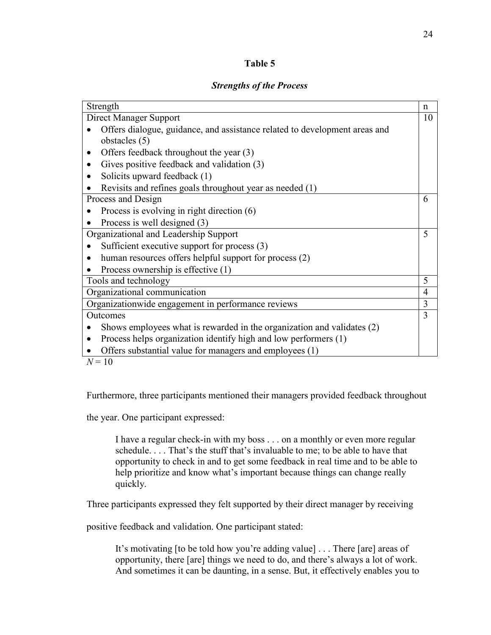## **Table 5**

## *Strengths of the Process*

| Strength                                                                                    | n              |
|---------------------------------------------------------------------------------------------|----------------|
| Direct Manager Support                                                                      | 10             |
| Offers dialogue, guidance, and assistance related to development areas and<br>obstacles (5) |                |
| Offers feedback throughout the year (3)                                                     |                |
| Gives positive feedback and validation (3)                                                  |                |
| Solicits upward feedback (1)                                                                |                |
| Revisits and refines goals throughout year as needed (1)                                    |                |
| Process and Design                                                                          | 6              |
| Process is evolving in right direction $(6)$                                                |                |
| Process is well designed (3)                                                                |                |
| Organizational and Leadership Support                                                       | 5              |
| Sufficient executive support for process (3)                                                |                |
| human resources offers helpful support for process (2)                                      |                |
| Process ownership is effective (1)                                                          |                |
| Tools and technology                                                                        | 5              |
| Organizational communication                                                                | $\overline{4}$ |
| Organizationwide engagement in performance reviews                                          | 3              |
| Outcomes                                                                                    | 3              |
| Shows employees what is rewarded in the organization and validates (2)                      |                |
| Process helps organization identify high and low performers (1)                             |                |
| Offers substantial value for managers and employees (1)                                     |                |
| $N=10$                                                                                      |                |

Furthermore, three participants mentioned their managers provided feedback throughout

the year. One participant expressed:

I have a regular check-in with my boss . . . on a monthly or even more regular schedule. . . . That's the stuff that's invaluable to me; to be able to have that opportunity to check in and to get some feedback in real time and to be able to help prioritize and know what's important because things can change really quickly.

Three participants expressed they felt supported by their direct manager by receiving

positive feedback and validation. One participant stated:

It's motivating [to be told how you're adding value] . . . There [are] areas of opportunity, there [are] things we need to do, and there's always a lot of work. And sometimes it can be daunting, in a sense. But, it effectively enables you to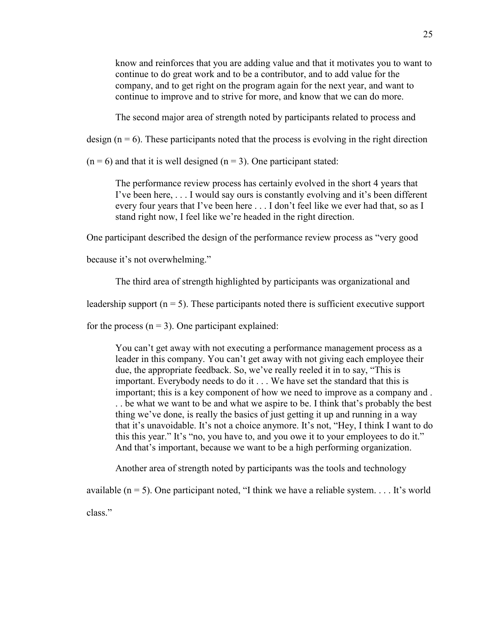know and reinforces that you are adding value and that it motivates you to want to continue to do great work and to be a contributor, and to add value for the company, and to get right on the program again for the next year, and want to continue to improve and to strive for more, and know that we can do more.

The second major area of strength noted by participants related to process and

design  $(n = 6)$ . These participants noted that the process is evolving in the right direction

 $(n = 6)$  and that it is well designed  $(n = 3)$ . One participant stated:

The performance review process has certainly evolved in the short 4 years that I've been here, . . . I would say ours is constantly evolving and it's been different every four years that I've been here . . . I don't feel like we ever had that, so as I stand right now, I feel like we're headed in the right direction.

One participant described the design of the performance review process as "very good

because it's not overwhelming."

The third area of strength highlighted by participants was organizational and

leadership support ( $n = 5$ ). These participants noted there is sufficient executive support

for the process  $(n = 3)$ . One participant explained:

You can't get away with not executing a performance management process as a leader in this company. You can't get away with not giving each employee their due, the appropriate feedback. So, we've really reeled it in to say, "This is important. Everybody needs to do it . . . We have set the standard that this is important; this is a key component of how we need to improve as a company and . . . be what we want to be and what we aspire to be. I think that's probably the best thing we've done, is really the basics of just getting it up and running in a way that it's unavoidable. It's not a choice anymore. It's not, "Hey, I think I want to do this this year." It's "no, you have to, and you owe it to your employees to do it." And that's important, because we want to be a high performing organization.

Another area of strength noted by participants was the tools and technology

available  $(n = 5)$ . One participant noted, "I think we have a reliable system.... It's world class."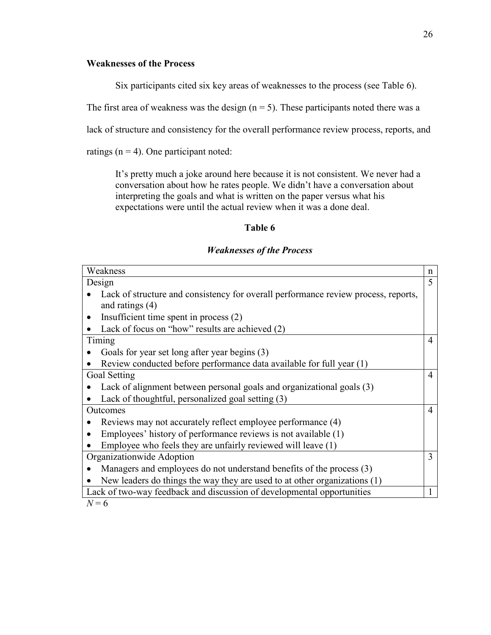## **Weaknesses of the Process**

Six participants cited six key areas of weaknesses to the process (see Table 6).

The first area of weakness was the design  $(n = 5)$ . These participants noted there was a

lack of structure and consistency for the overall performance review process, reports, and

ratings  $(n = 4)$ . One participant noted:

It's pretty much a joke around here because it is not consistent. We never had a conversation about how he rates people. We didn't have a conversation about interpreting the goals and what is written on the paper versus what his expectations were until the actual review when it was a done deal.

## **Table 6**

#### *Weaknesses of the Process*

| Weakness<br>n                                                                            |  |
|------------------------------------------------------------------------------------------|--|
| 5<br>Design                                                                              |  |
| Lack of structure and consistency for overall performance review process, reports,       |  |
| and ratings $(4)$                                                                        |  |
| Insufficient time spent in process (2)<br>$\bullet$                                      |  |
| Lack of focus on "how" results are achieved (2)                                          |  |
| Timing<br>$\overline{4}$                                                                 |  |
| Goals for year set long after year begins (3)                                            |  |
| Review conducted before performance data available for full year (1)                     |  |
| Goal Setting<br>$\overline{4}$                                                           |  |
| Lack of alignment between personal goals and organizational goals (3)                    |  |
| Lack of thoughtful, personalized goal setting (3)                                        |  |
| Outcomes<br>4                                                                            |  |
| Reviews may not accurately reflect employee performance (4)                              |  |
| Employees' history of performance reviews is not available (1)                           |  |
| Employee who feels they are unfairly reviewed will leave (1)                             |  |
| Organizationwide Adoption<br>3                                                           |  |
| Managers and employees do not understand benefits of the process (3)                     |  |
| New leaders do things the way they are used to at other organizations $(1)$<br>$\bullet$ |  |
| Lack of two-way feedback and discussion of developmental opportunities                   |  |

 $N = 6$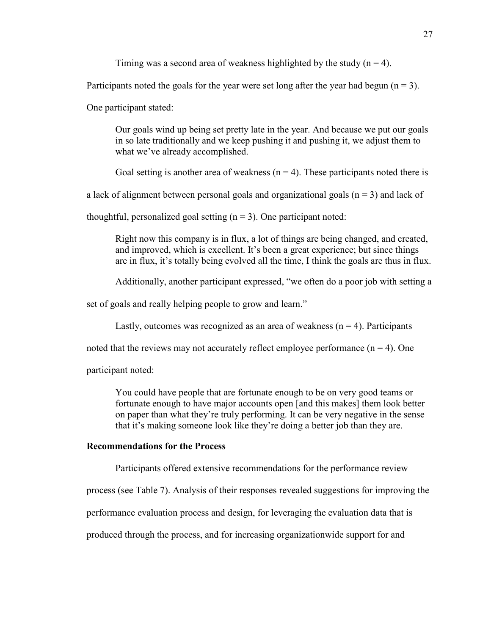Timing was a second area of weakness highlighted by the study  $(n = 4)$ .

Participants noted the goals for the year were set long after the year had begun ( $n = 3$ ).

One participant stated:

Our goals wind up being set pretty late in the year. And because we put our goals in so late traditionally and we keep pushing it and pushing it, we adjust them to what we've already accomplished.

Goal setting is another area of weakness  $(n = 4)$ . These participants noted there is

a lack of alignment between personal goals and organizational goals  $(n = 3)$  and lack of

thoughtful, personalized goal setting  $(n = 3)$ . One participant noted:

Right now this company is in flux, a lot of things are being changed, and created, and improved, which is excellent. It's been a great experience; but since things are in flux, it's totally being evolved all the time, I think the goals are thus in flux.

Additionally, another participant expressed, "we often do a poor job with setting a

set of goals and really helping people to grow and learn."

Lastly, outcomes was recognized as an area of weakness  $(n = 4)$ . Participants

noted that the reviews may not accurately reflect employee performance  $(n = 4)$ . One

participant noted:

You could have people that are fortunate enough to be on very good teams or fortunate enough to have major accounts open [and this makes] them look better on paper than what they're truly performing. It can be very negative in the sense that it's making someone look like they're doing a better job than they are.

#### **Recommendations for the Process**

Participants offered extensive recommendations for the performance review

process (see Table 7). Analysis of their responses revealed suggestions for improving the

performance evaluation process and design, for leveraging the evaluation data that is

produced through the process, and for increasing organizationwide support for and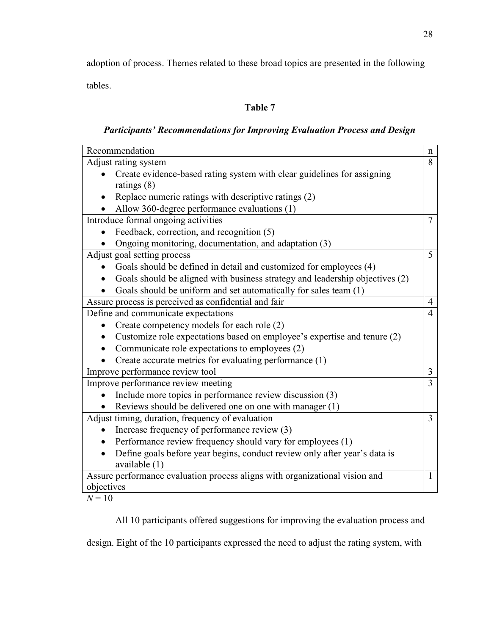adoption of process. Themes related to these broad topics are presented in the following tables.

# **Table 7**

# *Participants' Recommendations for Improving Evaluation Process and Design*

| Recommendation                                                                         | n              |
|----------------------------------------------------------------------------------------|----------------|
| Adjust rating system                                                                   | 8              |
| Create evidence-based rating system with clear guidelines for assigning                |                |
| ratings $(8)$                                                                          |                |
| Replace numeric ratings with descriptive ratings (2)                                   |                |
| Allow 360-degree performance evaluations (1)                                           |                |
| Introduce formal ongoing activities                                                    | 7              |
| Feedback, correction, and recognition (5)                                              |                |
| Ongoing monitoring, documentation, and adaptation (3)                                  |                |
| Adjust goal setting process                                                            | 5 <sup>1</sup> |
| Goals should be defined in detail and customized for employees (4)                     |                |
| Goals should be aligned with business strategy and leadership objectives (2)           |                |
| Goals should be uniform and set automatically for sales team (1)                       |                |
| Assure process is perceived as confidential and fair                                   | $\overline{4}$ |
| Define and communicate expectations                                                    | $\overline{4}$ |
| Create competency models for each role (2)                                             |                |
| Customize role expectations based on employee's expertise and tenure (2)               |                |
| Communicate role expectations to employees (2)                                         |                |
| Create accurate metrics for evaluating performance (1)                                 |                |
| Improve performance review tool                                                        | 3              |
| Improve performance review meeting                                                     | 3              |
| Include more topics in performance review discussion (3)                               |                |
| Reviews should be delivered one on one with manager (1)                                |                |
| Adjust timing, duration, frequency of evaluation                                       | 3              |
| Increase frequency of performance review (3)                                           |                |
| Performance review frequency should vary for employees (1)                             |                |
| Define goals before year begins, conduct review only after year's data is<br>$\bullet$ |                |
| available (1)                                                                          |                |
| Assure performance evaluation process aligns with organizational vision and            | 1              |
| objectives                                                                             |                |

 $N = 10$ 

All 10 participants offered suggestions for improving the evaluation process and

design. Eight of the 10 participants expressed the need to adjust the rating system, with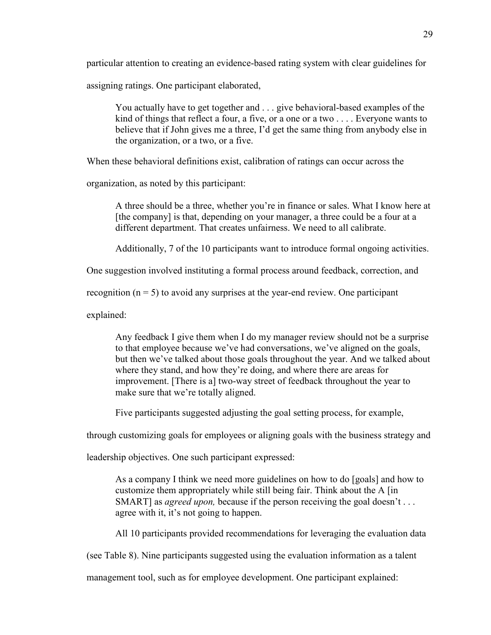particular attention to creating an evidence-based rating system with clear guidelines for

assigning ratings. One participant elaborated,

You actually have to get together and . . . give behavioral-based examples of the kind of things that reflect a four, a five, or a one or a two . . . . Everyone wants to believe that if John gives me a three, I'd get the same thing from anybody else in the organization, or a two, or a five.

When these behavioral definitions exist, calibration of ratings can occur across the

organization, as noted by this participant:

A three should be a three, whether you're in finance or sales. What I know here at [the company] is that, depending on your manager, a three could be a four at a different department. That creates unfairness. We need to all calibrate.

Additionally, 7 of the 10 participants want to introduce formal ongoing activities.

One suggestion involved instituting a formal process around feedback, correction, and

recognition  $(n = 5)$  to avoid any surprises at the year-end review. One participant

explained:

Any feedback I give them when I do my manager review should not be a surprise to that employee because we've had conversations, we've aligned on the goals, but then we've talked about those goals throughout the year. And we talked about where they stand, and how they're doing, and where there are areas for improvement. [There is a] two-way street of feedback throughout the year to make sure that we're totally aligned.

Five participants suggested adjusting the goal setting process, for example,

through customizing goals for employees or aligning goals with the business strategy and

leadership objectives. One such participant expressed:

As a company I think we need more guidelines on how to do [goals] and how to customize them appropriately while still being fair. Think about the A [in SMART] as *agreed upon*, because if the person receiving the goal doesn't . . . agree with it, it's not going to happen.

All 10 participants provided recommendations for leveraging the evaluation data

(see Table 8). Nine participants suggested using the evaluation information as a talent

management tool, such as for employee development. One participant explained: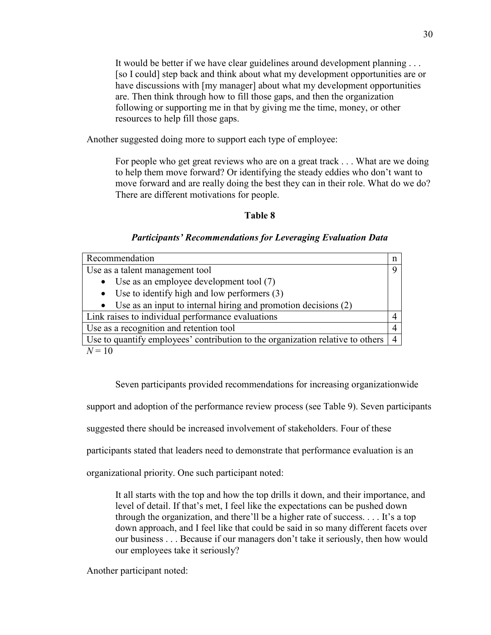It would be better if we have clear guidelines around development planning . . . [so I could] step back and think about what my development opportunities are or have discussions with [my manager] about what my development opportunities are. Then think through how to fill those gaps, and then the organization following or supporting me in that by giving me the time, money, or other resources to help fill those gaps.

Another suggested doing more to support each type of employee:

For people who get great reviews who are on a great track . . . What are we doing to help them move forward? Or identifying the steady eddies who don't want to move forward and are really doing the best they can in their role. What do we do? There are different motivations for people.

## **Table 8**

## *Participants' Recommendations for Leveraging Evaluation Data*

| Recommendation                                                                 | n              |
|--------------------------------------------------------------------------------|----------------|
| Use as a talent management tool                                                | Q              |
| • Use as an employee development tool $(7)$                                    |                |
| • Use to identify high and low performers $(3)$                                |                |
| $\bullet$ Use as an input to internal hiring and promotion decisions (2)       |                |
| Link raises to individual performance evaluations                              |                |
| Use as a recognition and retention tool                                        |                |
| Use to quantify employees' contribution to the organization relative to others | $\overline{4}$ |
| $N=10$                                                                         |                |

Seven participants provided recommendations for increasing organizationwide

support and adoption of the performance review process (see Table 9). Seven participants

suggested there should be increased involvement of stakeholders. Four of these

participants stated that leaders need to demonstrate that performance evaluation is an

organizational priority. One such participant noted:

It all starts with the top and how the top drills it down, and their importance, and level of detail. If that's met, I feel like the expectations can be pushed down through the organization, and there'll be a higher rate of success. . . . It's a top down approach, and I feel like that could be said in so many different facets over our business . . . Because if our managers don't take it seriously, then how would our employees take it seriously?

Another participant noted: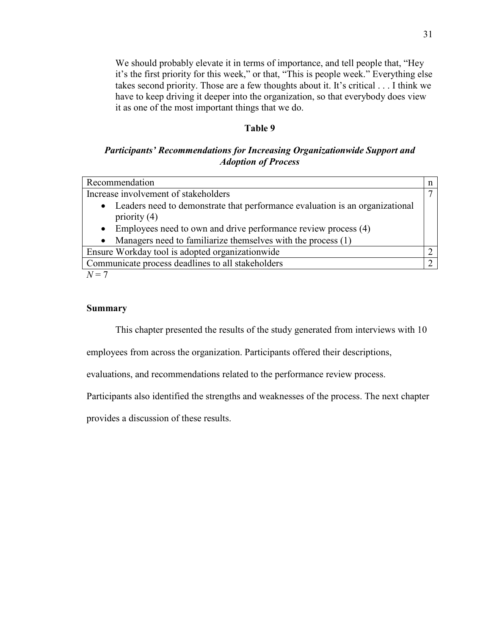We should probably elevate it in terms of importance, and tell people that, "Hey it's the first priority for this week," or that, "This is people week." Everything else takes second priority. Those are a few thoughts about it. It's critical . . . I think we have to keep driving it deeper into the organization, so that everybody does view it as one of the most important things that we do.

## **Table 9**

## *Participants' Recommendations for Increasing Organizationwide Support and Adoption of Process*

| Recommendation                                                                                   |  |
|--------------------------------------------------------------------------------------------------|--|
| Increase involvement of stakeholders                                                             |  |
| • Leaders need to demonstrate that performance evaluation is an organizational<br>priority $(4)$ |  |
| Employees need to own and drive performance review process (4)<br>$\bullet$                      |  |
| Managers need to familiarize themselves with the process (1)<br>$\bullet$                        |  |
| Ensure Workday tool is adopted organization wide                                                 |  |
| Communicate process deadlines to all stakeholders                                                |  |
| $\mathbf{r}$ $\mathbf{r}$                                                                        |  |

 $N=7$ 

## **Summary**

This chapter presented the results of the study generated from interviews with 10

employees from across the organization. Participants offered their descriptions,

evaluations, and recommendations related to the performance review process.

Participants also identified the strengths and weaknesses of the process. The next chapter

provides a discussion of these results.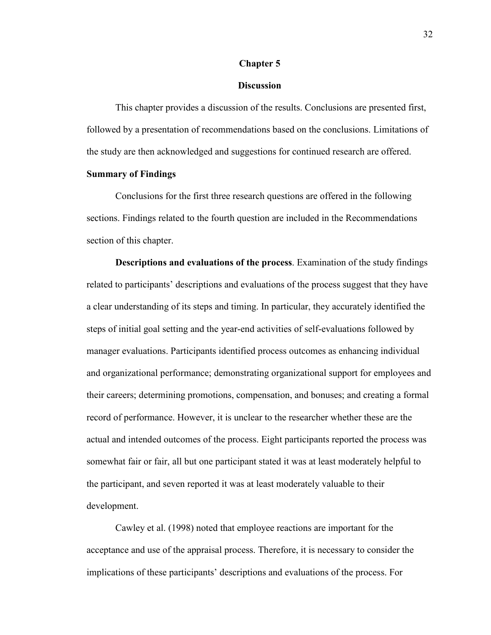#### **Chapter 5**

## **Discussion**

This chapter provides a discussion of the results. Conclusions are presented first, followed by a presentation of recommendations based on the conclusions. Limitations of the study are then acknowledged and suggestions for continued research are offered.

### **Summary of Findings**

Conclusions for the first three research questions are offered in the following sections. Findings related to the fourth question are included in the Recommendations section of this chapter.

**Descriptions and evaluations of the process**. Examination of the study findings related to participants' descriptions and evaluations of the process suggest that they have a clear understanding of its steps and timing. In particular, they accurately identified the steps of initial goal setting and the year-end activities of self-evaluations followed by manager evaluations. Participants identified process outcomes as enhancing individual and organizational performance; demonstrating organizational support for employees and their careers; determining promotions, compensation, and bonuses; and creating a formal record of performance. However, it is unclear to the researcher whether these are the actual and intended outcomes of the process. Eight participants reported the process was somewhat fair or fair, all but one participant stated it was at least moderately helpful to the participant, and seven reported it was at least moderately valuable to their development.

Cawley et al. (1998) noted that employee reactions are important for the acceptance and use of the appraisal process. Therefore, it is necessary to consider the implications of these participants' descriptions and evaluations of the process. For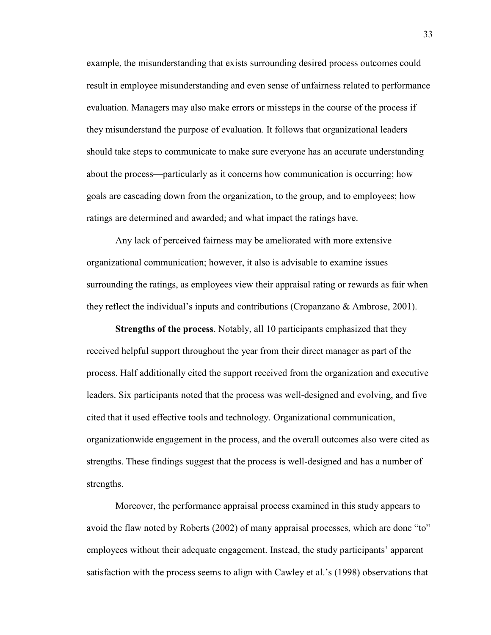example, the misunderstanding that exists surrounding desired process outcomes could result in employee misunderstanding and even sense of unfairness related to performance evaluation. Managers may also make errors or missteps in the course of the process if they misunderstand the purpose of evaluation. It follows that organizational leaders should take steps to communicate to make sure everyone has an accurate understanding about the process—particularly as it concerns how communication is occurring; how goals are cascading down from the organization, to the group, and to employees; how ratings are determined and awarded; and what impact the ratings have.

Any lack of perceived fairness may be ameliorated with more extensive organizational communication; however, it also is advisable to examine issues surrounding the ratings, as employees view their appraisal rating or rewards as fair when they reflect the individual's inputs and contributions (Cropanzano & Ambrose, 2001).

**Strengths of the process**. Notably, all 10 participants emphasized that they received helpful support throughout the year from their direct manager as part of the process. Half additionally cited the support received from the organization and executive leaders. Six participants noted that the process was well-designed and evolving, and five cited that it used effective tools and technology. Organizational communication, organizationwide engagement in the process, and the overall outcomes also were cited as strengths. These findings suggest that the process is well-designed and has a number of strengths.

Moreover, the performance appraisal process examined in this study appears to avoid the flaw noted by Roberts (2002) of many appraisal processes, which are done "to" employees without their adequate engagement. Instead, the study participants' apparent satisfaction with the process seems to align with Cawley et al.'s (1998) observations that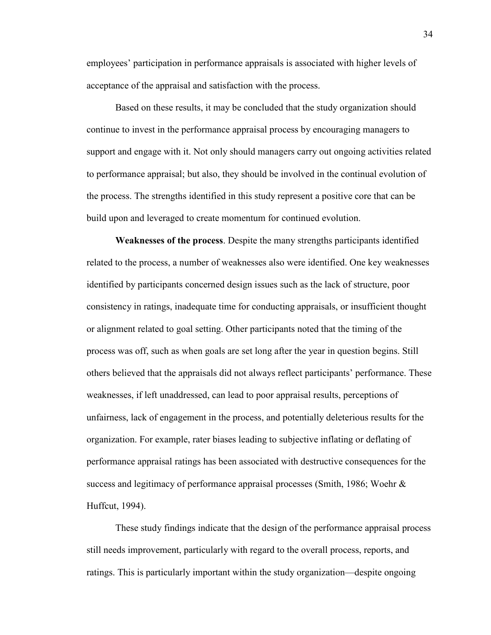employees' participation in performance appraisals is associated with higher levels of acceptance of the appraisal and satisfaction with the process.

Based on these results, it may be concluded that the study organization should continue to invest in the performance appraisal process by encouraging managers to support and engage with it. Not only should managers carry out ongoing activities related to performance appraisal; but also, they should be involved in the continual evolution of the process. The strengths identified in this study represent a positive core that can be build upon and leveraged to create momentum for continued evolution.

**Weaknesses of the process**. Despite the many strengths participants identified related to the process, a number of weaknesses also were identified. One key weaknesses identified by participants concerned design issues such as the lack of structure, poor consistency in ratings, inadequate time for conducting appraisals, or insufficient thought or alignment related to goal setting. Other participants noted that the timing of the process was off, such as when goals are set long after the year in question begins. Still others believed that the appraisals did not always reflect participants' performance. These weaknesses, if left unaddressed, can lead to poor appraisal results, perceptions of unfairness, lack of engagement in the process, and potentially deleterious results for the organization. For example, rater biases leading to subjective inflating or deflating of performance appraisal ratings has been associated with destructive consequences for the success and legitimacy of performance appraisal processes (Smith, 1986; Woehr & Huffcut, 1994).

These study findings indicate that the design of the performance appraisal process still needs improvement, particularly with regard to the overall process, reports, and ratings. This is particularly important within the study organization—despite ongoing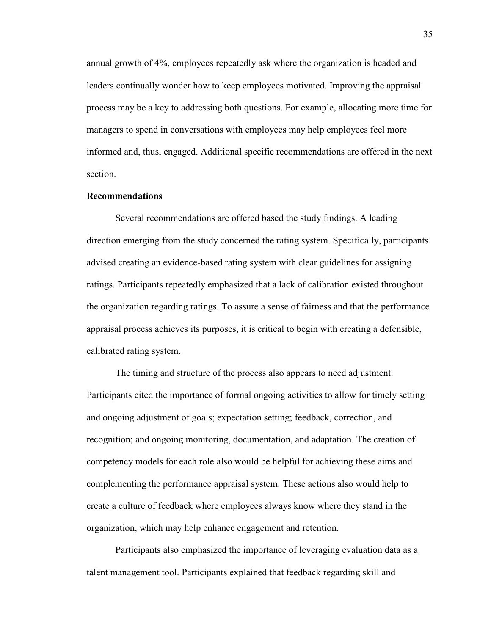annual growth of 4%, employees repeatedly ask where the organization is headed and leaders continually wonder how to keep employees motivated. Improving the appraisal process may be a key to addressing both questions. For example, allocating more time for managers to spend in conversations with employees may help employees feel more informed and, thus, engaged. Additional specific recommendations are offered in the next section.

#### **Recommendations**

Several recommendations are offered based the study findings. A leading direction emerging from the study concerned the rating system. Specifically, participants advised creating an evidence-based rating system with clear guidelines for assigning ratings. Participants repeatedly emphasized that a lack of calibration existed throughout the organization regarding ratings. To assure a sense of fairness and that the performance appraisal process achieves its purposes, it is critical to begin with creating a defensible, calibrated rating system.

The timing and structure of the process also appears to need adjustment. Participants cited the importance of formal ongoing activities to allow for timely setting and ongoing adjustment of goals; expectation setting; feedback, correction, and recognition; and ongoing monitoring, documentation, and adaptation. The creation of competency models for each role also would be helpful for achieving these aims and complementing the performance appraisal system. These actions also would help to create a culture of feedback where employees always know where they stand in the organization, which may help enhance engagement and retention.

Participants also emphasized the importance of leveraging evaluation data as a talent management tool. Participants explained that feedback regarding skill and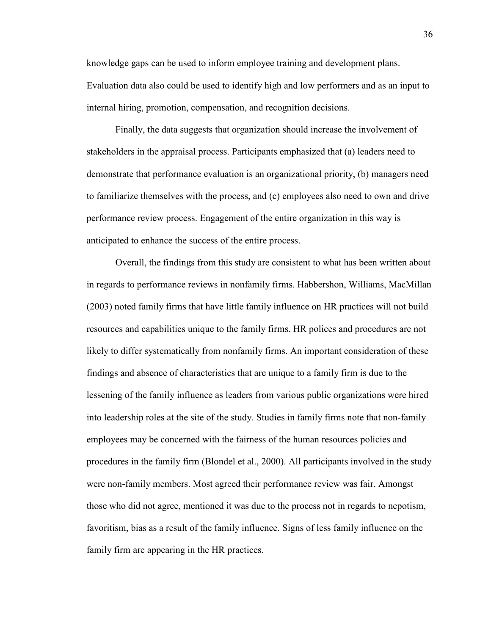knowledge gaps can be used to inform employee training and development plans. Evaluation data also could be used to identify high and low performers and as an input to internal hiring, promotion, compensation, and recognition decisions.

Finally, the data suggests that organization should increase the involvement of stakeholders in the appraisal process. Participants emphasized that (a) leaders need to demonstrate that performance evaluation is an organizational priority, (b) managers need to familiarize themselves with the process, and (c) employees also need to own and drive performance review process. Engagement of the entire organization in this way is anticipated to enhance the success of the entire process.

Overall, the findings from this study are consistent to what has been written about in regards to performance reviews in nonfamily firms. Habbershon, Williams, MacMillan (2003) noted family firms that have little family influence on HR practices will not build resources and capabilities unique to the family firms. HR polices and procedures are not likely to differ systematically from nonfamily firms. An important consideration of these findings and absence of characteristics that are unique to a family firm is due to the lessening of the family influence as leaders from various public organizations were hired into leadership roles at the site of the study. Studies in family firms note that non-family employees may be concerned with the fairness of the human resources policies and procedures in the family firm (Blondel et al., 2000). All participants involved in the study were non-family members. Most agreed their performance review was fair. Amongst those who did not agree, mentioned it was due to the process not in regards to nepotism, favoritism, bias as a result of the family influence. Signs of less family influence on the family firm are appearing in the HR practices.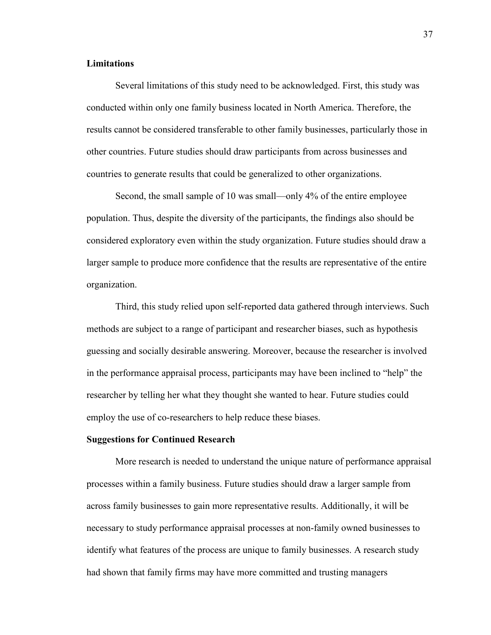### **Limitations**

Several limitations of this study need to be acknowledged. First, this study was conducted within only one family business located in North America. Therefore, the results cannot be considered transferable to other family businesses, particularly those in other countries. Future studies should draw participants from across businesses and countries to generate results that could be generalized to other organizations.

Second, the small sample of 10 was small—only 4% of the entire employee population. Thus, despite the diversity of the participants, the findings also should be considered exploratory even within the study organization. Future studies should draw a larger sample to produce more confidence that the results are representative of the entire organization.

Third, this study relied upon self-reported data gathered through interviews. Such methods are subject to a range of participant and researcher biases, such as hypothesis guessing and socially desirable answering. Moreover, because the researcher is involved in the performance appraisal process, participants may have been inclined to "help" the researcher by telling her what they thought she wanted to hear. Future studies could employ the use of co-researchers to help reduce these biases.

#### **Suggestions for Continued Research**

More research is needed to understand the unique nature of performance appraisal processes within a family business. Future studies should draw a larger sample from across family businesses to gain more representative results. Additionally, it will be necessary to study performance appraisal processes at non-family owned businesses to identify what features of the process are unique to family businesses. A research study had shown that family firms may have more committed and trusting managers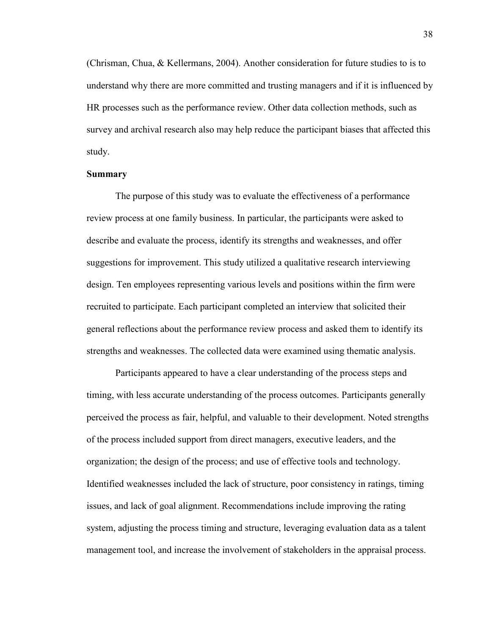(Chrisman, Chua, & Kellermans, 2004). Another consideration for future studies to is to understand why there are more committed and trusting managers and if it is influenced by HR processes such as the performance review. Other data collection methods, such as survey and archival research also may help reduce the participant biases that affected this study.

#### **Summary**

The purpose of this study was to evaluate the effectiveness of a performance review process at one family business. In particular, the participants were asked to describe and evaluate the process, identify its strengths and weaknesses, and offer suggestions for improvement. This study utilized a qualitative research interviewing design. Ten employees representing various levels and positions within the firm were recruited to participate. Each participant completed an interview that solicited their general reflections about the performance review process and asked them to identify its strengths and weaknesses. The collected data were examined using thematic analysis.

Participants appeared to have a clear understanding of the process steps and timing, with less accurate understanding of the process outcomes. Participants generally perceived the process as fair, helpful, and valuable to their development. Noted strengths of the process included support from direct managers, executive leaders, and the organization; the design of the process; and use of effective tools and technology. Identified weaknesses included the lack of structure, poor consistency in ratings, timing issues, and lack of goal alignment. Recommendations include improving the rating system, adjusting the process timing and structure, leveraging evaluation data as a talent management tool, and increase the involvement of stakeholders in the appraisal process.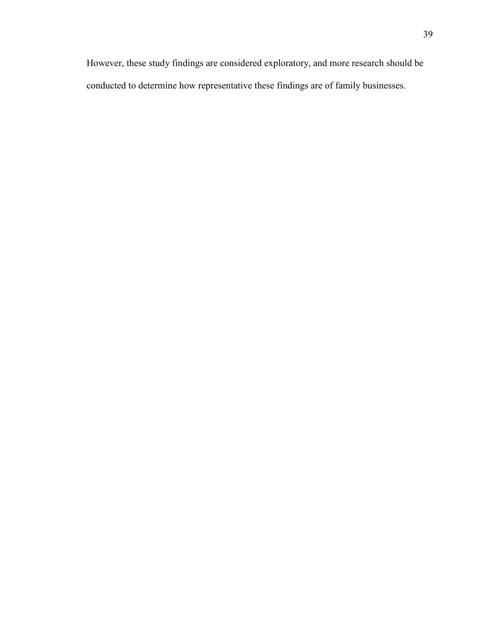However, these study findings are considered exploratory, and more research should be conducted to determine how representative these findings are of family businesses.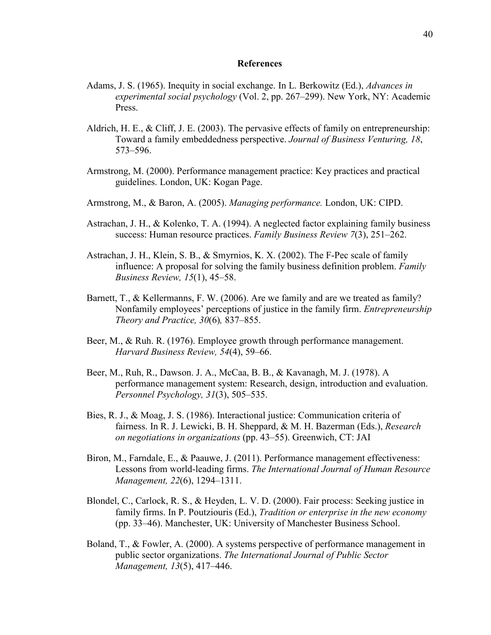#### **References**

- Adams, J. S. (1965). Inequity in social exchange. In L. Berkowitz (Ed.), *Advances in experimental social psychology* (Vol. 2, pp. 267–299). New York, NY: Academic Press.
- Aldrich, H. E., & Cliff, J. E. (2003). The pervasive effects of family on entrepreneurship: Toward a family embeddedness perspective. *Journal of Business Venturing, 18*, 573–596.
- Armstrong, M. (2000). Performance management practice: Key practices and practical guidelines. London, UK: Kogan Page.
- Armstrong, M., & Baron, A. (2005). *Managing performance.* London, UK: CIPD.
- Astrachan, J. H., & Kolenko, T. A. (1994). A neglected factor explaining family business success: Human resource practices. *Family Business Review 7*(3), 251–262.
- Astrachan, J. H., Klein, S. B., & Smyrnios, K. X. (2002). The F-Pec scale of family influence: A proposal for solving the family business definition problem. *Family Business Review, 15*(1), 45–58.
- Barnett, T., & Kellermanns, F. W. (2006). Are we family and are we treated as family? Nonfamily employees' perceptions of justice in the family firm. *Entrepreneurship Theory and Practice, 30*(6)*,* 837–855.
- Beer, M., & Ruh. R. (1976). Employee growth through performance management. *Harvard Business Review, 54*(4), 59–66.
- Beer, M., Ruh, R., Dawson. J. A., McCaa, B. B., & Kavanagh, M. J. (1978). A performance management system: Research, design, introduction and evaluation. *Personnel Psychology, 31*(3), 505–535.
- Bies, R. J., & Moag, J. S. (1986). Interactional justice: Communication criteria of fairness. In R. J. Lewicki, B. H. Sheppard, & M. H. Bazerman (Eds.), *Research on negotiations in organizations* (pp. 43–55). Greenwich, CT: JAI
- Biron, M., Farndale, E., & Paauwe, J. (2011). Performance management effectiveness: Lessons from world-leading firms. *The International Journal of Human Resource Management, 22*(6), 1294–1311.
- Blondel, C., Carlock, R. S., & Heyden, L. V. D. (2000). Fair process: Seeking justice in family firms. In P. Poutziouris (Ed.), *Tradition or enterprise in the new economy* (pp. 33–46). Manchester, UK: University of Manchester Business School.
- Boland, T., & Fowler, A. (2000). A systems perspective of performance management in public sector organizations. *The International Journal of Public Sector Management, 13*(5), 417–446.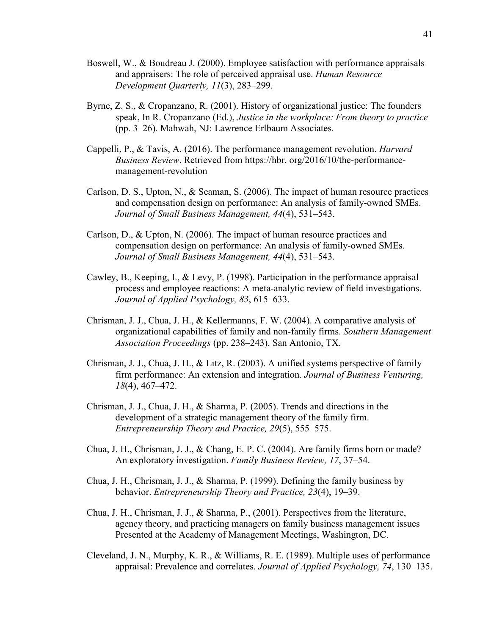- Boswell, W., & Boudreau J. (2000). Employee satisfaction with performance appraisals and appraisers: The role of perceived appraisal use. *Human Resource Development Quarterly, 11*(3), 283–299.
- Byrne, Z. S., & Cropanzano, R. (2001). History of organizational justice: The founders speak, In R. Cropanzano (Ed.), *Justice in the workplace: From theory to practice*  (pp. 3–26). Mahwah, NJ: Lawrence Erlbaum Associates.
- Cappelli, P., & Tavis, A. (2016). The performance management revolution. *Harvard Business Review*. Retrieved from https://hbr. org/2016/10/the-performancemanagement-revolution
- Carlson, D. S., Upton, N., & Seaman, S. (2006). The impact of human resource practices and compensation design on performance: An analysis of family-owned SMEs. *Journal of Small Business Management, 44*(4), 531–543.
- Carlson, D., & Upton, N. (2006). The impact of human resource practices and compensation design on performance: An analysis of family-owned SMEs. *Journal of Small Business Management, 44*(4), 531–543.
- Cawley, B., Keeping, I., & Levy, P. (1998). Participation in the performance appraisal process and employee reactions: A meta-analytic review of field investigations. *Journal of Applied Psychology, 83*, 615–633.
- Chrisman, J. J., Chua, J. H., & Kellermanns, F. W. (2004). A comparative analysis of organizational capabilities of family and non-family firms. *Southern Management Association Proceedings* (pp. 238–243). San Antonio, TX.
- Chrisman, J. J., Chua, J. H., & Litz, R. (2003). A unified systems perspective of family firm performance: An extension and integration. *Journal of Business Venturing, 18*(4), 467–472.
- Chrisman, J. J., Chua, J. H., & Sharma, P. (2005). Trends and directions in the development of a strategic management theory of the family firm. *Entrepreneurship Theory and Practice, 29*(5), 555–575.
- Chua, J. H., Chrisman, J. J., & Chang, E. P. C. (2004). Are family firms born or made? An exploratory investigation. *Family Business Review, 17*, 37–54.
- Chua, J. H., Chrisman, J. J., & Sharma, P. (1999). Defining the family business by behavior. *Entrepreneurship Theory and Practice, 23*(4), 19–39.
- Chua, J. H., Chrisman, J. J., & Sharma, P., (2001). Perspectives from the literature, agency theory, and practicing managers on family business management issues Presented at the Academy of Management Meetings, Washington, DC.
- Cleveland, J. N., Murphy, K. R., & Williams, R. E. (1989). Multiple uses of performance appraisal: Prevalence and correlates. *Journal of Applied Psychology, 74*, 130–135.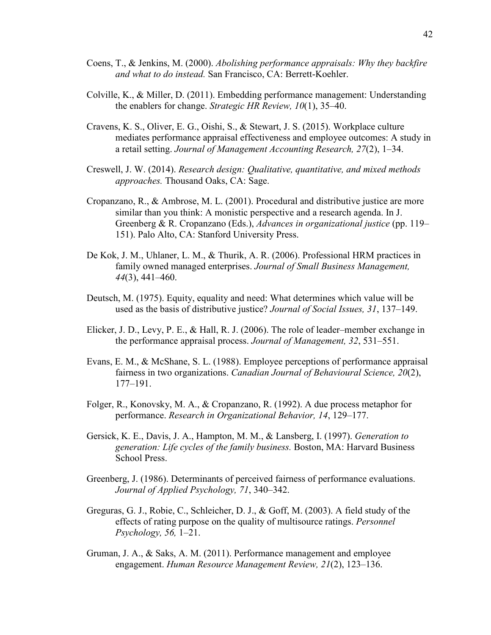- Coens, T., & Jenkins, M. (2000). *Abolishing performance appraisals: Why they backfire and what to do instead.* San Francisco, CA: Berrett-Koehler.
- Colville, K., & Miller, D. (2011). Embedding performance management: Understanding the enablers for change. *Strategic HR Review, 10*(1), 35–40.
- Cravens, K. S., Oliver, E. G., Oishi, S., & Stewart, J. S. (2015). Workplace culture mediates performance appraisal effectiveness and employee outcomes: A study in a retail setting. *Journal of Management Accounting Research, 27*(2), 1–34.
- Creswell, J. W. (2014). *Research design: Qualitative, quantitative, and mixed methods approaches.* Thousand Oaks, CA: Sage.
- Cropanzano, R., & Ambrose, M. L. (2001). Procedural and distributive justice are more similar than you think: A monistic perspective and a research agenda. In J. Greenberg & R. Cropanzano (Eds.), *Advances in organizational justice* (pp. 119– 151). Palo Alto, CA: Stanford University Press.
- De Kok, J. M., Uhlaner, L. M., & Thurik, A. R. (2006). Professional HRM practices in family owned managed enterprises. *Journal of Small Business Management, 44*(3), 441–460.
- Deutsch, M. (1975). Equity, equality and need: What determines which value will be used as the basis of distributive justice? *Journal of Social Issues, 31*, 137–149.
- Elicker, J. D., Levy, P. E., & Hall, R. J. (2006). The role of leader–member exchange in the performance appraisal process. *Journal of Management, 32*, 531–551.
- Evans, E. M., & McShane, S. L. (1988). Employee perceptions of performance appraisal fairness in two organizations. *Canadian Journal of Behavioural Science, 20*(2), 177–191.
- Folger, R., Konovsky, M. A., & Cropanzano, R. (1992). A due process metaphor for performance. *Research in Organizational Behavior, 14*, 129–177.
- Gersick, K. E., Davis, J. A., Hampton, M. M., & Lansberg, I. (1997). *Generation to generation: Life cycles of the family business.* Boston, MA: Harvard Business School Press.
- Greenberg, J. (1986). Determinants of perceived fairness of performance evaluations. *Journal of Applied Psychology, 71*, 340–342.
- Greguras, G. J., Robie, C., Schleicher, D. J., & Goff, M. (2003). A field study of the effects of rating purpose on the quality of multisource ratings. *Personnel Psychology, 56,* 1–21.
- Gruman, J. A., & Saks, A. M. (2011). Performance management and employee engagement. *Human Resource Management Review, 21*(2), 123–136.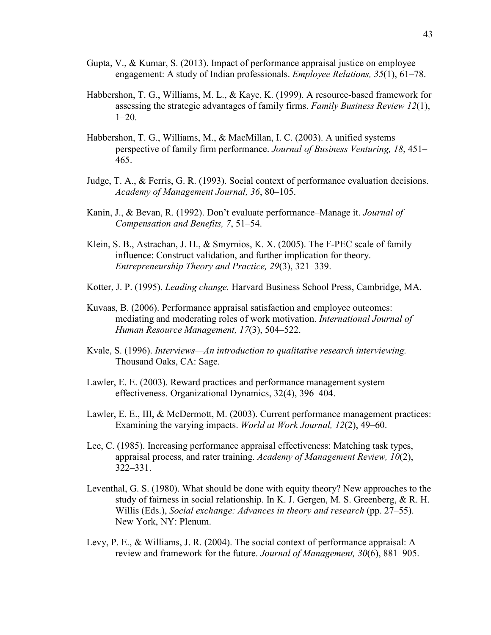- Gupta, V., & Kumar, S. (2013). Impact of performance appraisal justice on employee engagement: A study of Indian professionals. *Employee Relations, 35*(1), 61–78.
- Habbershon, T. G., Williams, M. L., & Kaye, K. (1999). A resource-based framework for assessing the strategic advantages of family firms. *Family Business Review 12*(1), 1–20.
- Habbershon, T. G., Williams, M., & MacMillan, I. C. (2003). A unified systems perspective of family firm performance. *Journal of Business Venturing, 18*, 451– 465.
- Judge, T. A., & Ferris, G. R. (1993). Social context of performance evaluation decisions. *Academy of Management Journal, 36*, 80–105.
- Kanin, J., & Bevan, R. (1992). Don't evaluate performance–Manage it. *Journal of Compensation and Benefits, 7*, 51–54.
- Klein, S. B., Astrachan, J. H., & Smyrnios, K. X. (2005). The F-PEC scale of family influence: Construct validation, and further implication for theory. *Entrepreneurship Theory and Practice, 29*(3), 321–339.
- Kotter, J. P. (1995). *Leading change.* Harvard Business School Press, Cambridge, MA.
- Kuvaas, B. (2006). Performance appraisal satisfaction and employee outcomes: mediating and moderating roles of work motivation. *International Journal of Human Resource Management, 17*(3), 504–522.
- Kvale, S. (1996). *Interviews—An introduction to qualitative research interviewing.*  Thousand Oaks, CA: Sage.
- Lawler, E. E. (2003). Reward practices and performance management system effectiveness. Organizational Dynamics, 32(4), 396–404.
- Lawler, E. E., III, & McDermott, M. (2003). Current performance management practices: Examining the varying impacts. *World at Work Journal, 12*(2), 49–60.
- Lee, C. (1985). Increasing performance appraisal effectiveness: Matching task types, appraisal process, and rater training. *Academy of Management Review, 10*(2), 322–331.
- Leventhal, G. S. (1980). What should be done with equity theory? New approaches to the study of fairness in social relationship. In K. J. Gergen, M. S. Greenberg, & R. H. Willis (Eds.), *Social exchange: Advances in theory and research* (pp. 27–55). New York, NY: Plenum.
- Levy, P. E., & Williams, J. R. (2004). The social context of performance appraisal: A review and framework for the future. *Journal of Management, 30*(6), 881–905.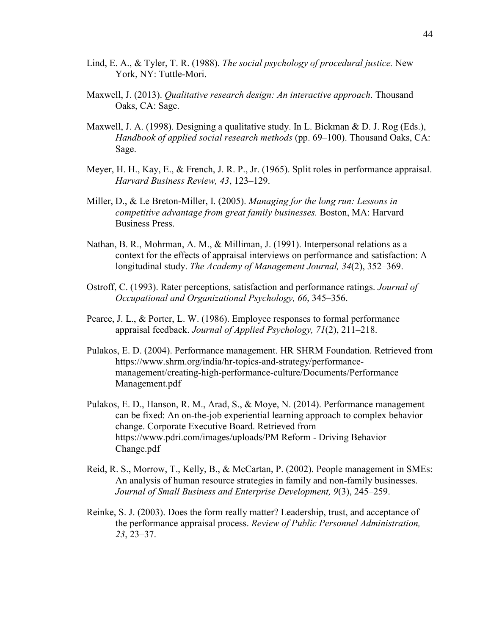- Lind, E. A., & Tyler, T. R. (1988). *The social psychology of procedural justice.* New York, NY: Tuttle-Mori.
- Maxwell, J. (2013). *Qualitative research design: An interactive approach*. Thousand Oaks, CA: Sage.
- Maxwell, J. A. (1998). Designing a qualitative study. In L. Bickman & D. J. Rog (Eds.), *Handbook of applied social research methods* (pp. 69–100). Thousand Oaks, CA: Sage.
- Meyer, H. H., Kay, E., & French, J. R. P., Jr. (1965). Split roles in performance appraisal. *Harvard Business Review, 43*, 123–129.
- Miller, D., & Le Breton-Miller, I. (2005). *Managing for the long run: Lessons in competitive advantage from great family businesses.* Boston, MA: Harvard Business Press.
- Nathan, B. R., Mohrman, A. M., & Milliman, J. (1991). Interpersonal relations as a context for the effects of appraisal interviews on performance and satisfaction: A longitudinal study. *The Academy of Management Journal, 34*(2), 352–369.
- Ostroff, C. (1993). Rater perceptions, satisfaction and performance ratings. *Journal of Occupational and Organizational Psychology, 66*, 345–356.
- Pearce, J. L., & Porter, L. W. (1986). Employee responses to formal performance appraisal feedback. *Journal of Applied Psychology, 71*(2), 211–218.
- Pulakos, E. D. (2004). Performance management. HR SHRM Foundation. Retrieved from https://www.shrm.org/india/hr-topics-and-strategy/performancemanagement/creating-high-performance-culture/Documents/Performance Management.pdf
- Pulakos, E. D., Hanson, R. M., Arad, S., & Moye, N. (2014). Performance management can be fixed: An on-the-job experiential learning approach to complex behavior change. Corporate Executive Board. Retrieved from https://www.pdri.com/images/uploads/PM Reform - Driving Behavior Change.pdf
- Reid, R. S., Morrow, T., Kelly, B., & McCartan, P. (2002). People management in SMEs: An analysis of human resource strategies in family and non-family businesses. *Journal of Small Business and Enterprise Development, 9*(3), 245–259.
- Reinke, S. J. (2003). Does the form really matter? Leadership, trust, and acceptance of the performance appraisal process. *Review of Public Personnel Administration, 23*, 23–37.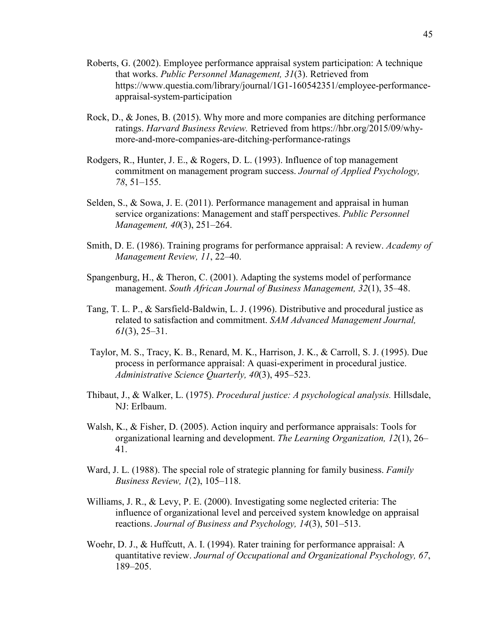- Roberts, G. (2002). Employee performance appraisal system participation: A technique that works. *Public Personnel Management, 31*(3). Retrieved from https://www.questia.com/library/journal/1G1-160542351/employee-performanceappraisal-system-participation
- Rock, D., & Jones, B. (2015). Why more and more companies are ditching performance ratings. *Harvard Business Review.* Retrieved from https://hbr.org/2015/09/whymore-and-more-companies-are-ditching-performance-ratings
- Rodgers, R., Hunter, J. E., & Rogers, D. L. (1993). Influence of top management commitment on management program success. *Journal of Applied Psychology, 78*, 51–155.
- Selden, S., & Sowa, J. E. (2011). Performance management and appraisal in human service organizations: Management and staff perspectives. *Public Personnel Management, 40*(3), 251–264.
- Smith, D. E. (1986). Training programs for performance appraisal: A review. *Academy of Management Review, 11*, 22–40.
- Spangenburg, H., & Theron, C. (2001). Adapting the systems model of performance management. *South African Journal of Business Management, 32*(1), 35–48.
- Tang, T. L. P., & Sarsfield-Baldwin, L. J. (1996). Distributive and procedural justice as related to satisfaction and commitment. *SAM Advanced Management Journal, 61*(3), 25–31.
- Taylor, M. S., Tracy, K. B., Renard, M. K., Harrison, J. K., & Carroll, S. J. (1995). Due process in performance appraisal: A quasi-experiment in procedural justice. *Administrative Science Quarterly, 40*(3), 495–523.
- Thibaut, J., & Walker, L. (1975). *Procedural justice: A psychological analysis.* Hillsdale, NJ: Erlbaum.
- Walsh, K., & Fisher, D. (2005). Action inquiry and performance appraisals: Tools for organizational learning and development. *The Learning Organization, 12*(1), 26– 41.
- Ward, J. L. (1988). The special role of strategic planning for family business. *Family Business Review, 1*(2), 105–118.
- Williams, J. R., & Levy, P. E. (2000). Investigating some neglected criteria: The influence of organizational level and perceived system knowledge on appraisal reactions. *Journal of Business and Psychology, 14*(3), 501–513.
- Woehr, D. J., & Huffcutt, A. I. (1994). Rater training for performance appraisal: A quantitative review. *Journal of Occupational and Organizational Psychology, 67*, 189–205.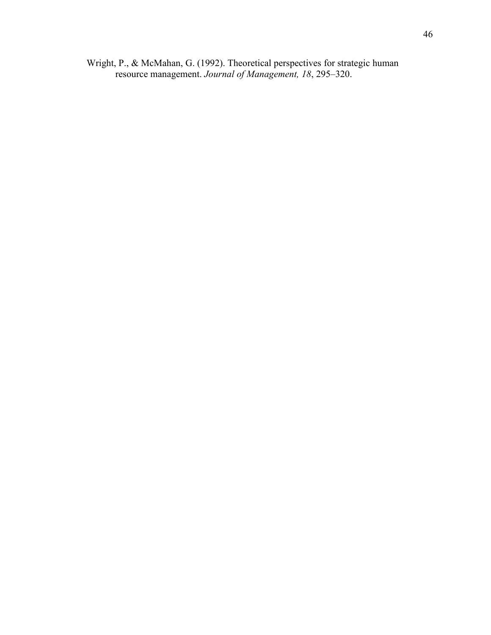Wright, P., & McMahan, G. (1992). Theoretical perspectives for strategic human resource management. *Journal of Management, 18*, 295–320.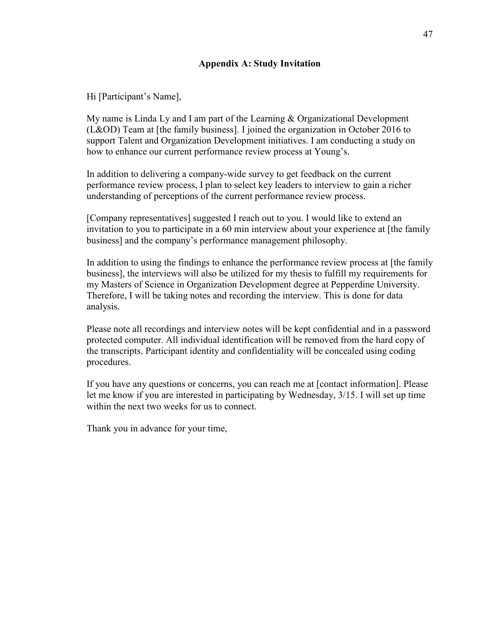## **Appendix A: Study Invitation**

Hi [Participant's Name],

My name is Linda Ly and I am part of the Learning & Organizational Development (L&OD) Team at [the family business]. I joined the organization in October 2016 to support Talent and Organization Development initiatives. I am conducting a study on how to enhance our current performance review process at Young's.

In addition to delivering a company-wide survey to get feedback on the current performance review process, I plan to select key leaders to interview to gain a richer understanding of perceptions of the current performance review process.

[Company representatives] suggested I reach out to you. I would like to extend an invitation to you to participate in a 60 min interview about your experience at [the family business] and the company's performance management philosophy.

In addition to using the findings to enhance the performance review process at [the family business], the interviews will also be utilized for my thesis to fulfill my requirements for my Masters of Science in Organization Development degree at Pepperdine University. Therefore, I will be taking notes and recording the interview. This is done for data analysis.

Please note all recordings and interview notes will be kept confidential and in a password protected computer. All individual identification will be removed from the hard copy of the transcripts. Participant identity and confidentiality will be concealed using coding procedures.

If you have any questions or concerns, you can reach me at [contact information]. Please let me know if you are interested in participating by Wednesday, 3/15. I will set up time within the next two weeks for us to connect.

Thank you in advance for your time,